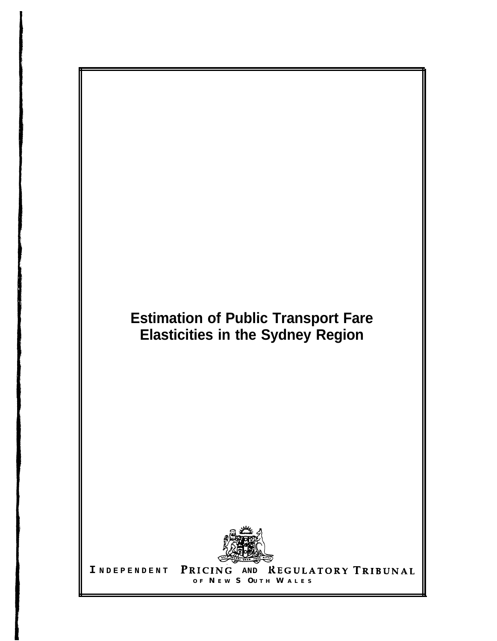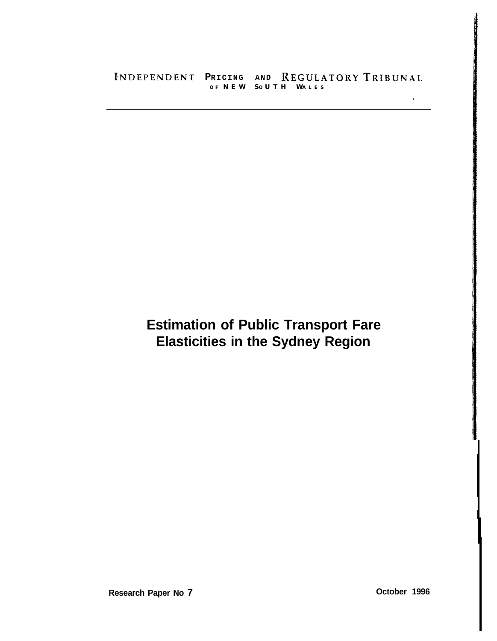**ENDEPENDENT PRICING AND REGULATORYTRIBUNAL OF NEW SO UTH WALES**

# **Estimation of Public Transport Fare Elasticities in the Sydney Region**

**.**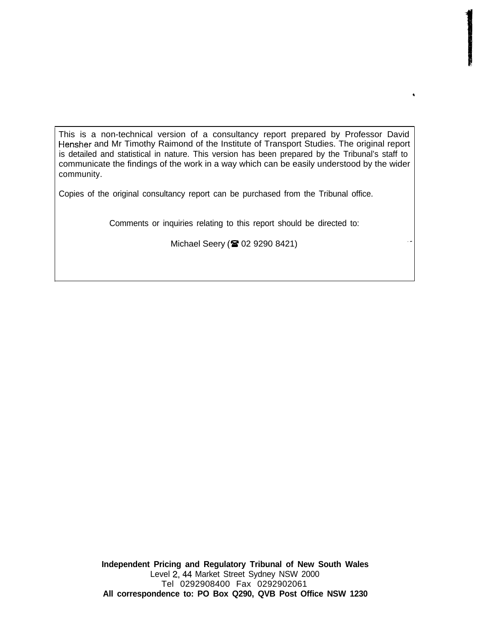This is a non-technical version of a consultancy report prepared by Professor David Hensher and Mr Timothy Raimond of the Institute of Transport Studies. The original report is detailed and statistical in nature. This version has been prepared by the Tribunal's staff to communicate the findings of the work in a way which can be easily understood by the wider community.

.

Copies of the original consultancy report can be purchased from the Tribunal office.

Comments or inquiries relating to this report should be directed to:

Michael Seery (<sup>2</sup>02 9290 8421)

**Independent Pricing and Regulatory Tribunal of New South Wales** Level 2,44 Market Street Sydney NSW 2000 Tel 0292908400 Fax 0292902061 **All correspondence to: PO Box Q290, QVB Post Office NSW 1230**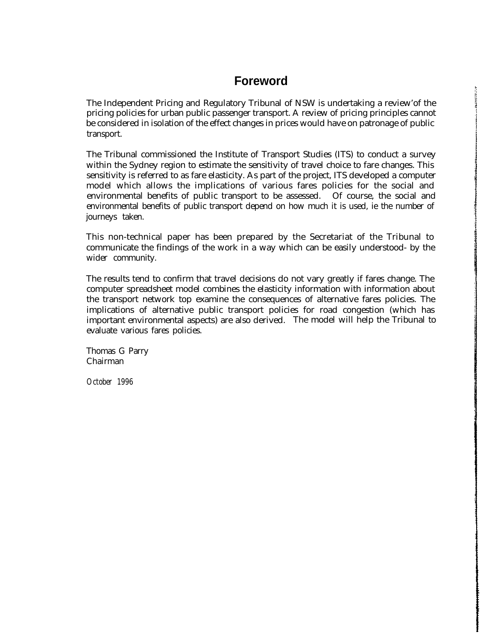## **Foreword**

**Home company** 

The Independent Pricing and Regulatory Tribunal of NSW is undertaking a review'of the pricing policies for urban public passenger transport. A review of pricing principles cannot be considered in isolation of the effect changes in prices would have on patronage of public transport.

The Tribunal commissioned the Institute of Transport Studies (ITS) to conduct a survey within the Sydney region to estimate the sensitivity of travel choice to fare changes. This sensitivity is referred to as fare elasticity. As part of the project, ITS developed a computer model which allows the implications of various fares policies for the social and environmental benefits of public transport to be assessed. Of course, the social and environmental benefits of public transport depend on how much it is used, ie the number of journeys taken.

This non-technical paper has been prepared by the Secretariat of the Tribunal to communicate the findings of the work in a way which can be easily understood- by the wider community.

The results tend to confirm that travel decisions do not vary greatly if fares change. The computer spreadsheet model combines the elasticity information with information about the transport network top examine the consequences of alternative fares policies. The implications of alternative public transport policies for road congestion (which has important environmental aspects) are also derived. The model will help the Tribunal to evaluate various fares policies.

Thomas G Parry Chairman

*October 1996*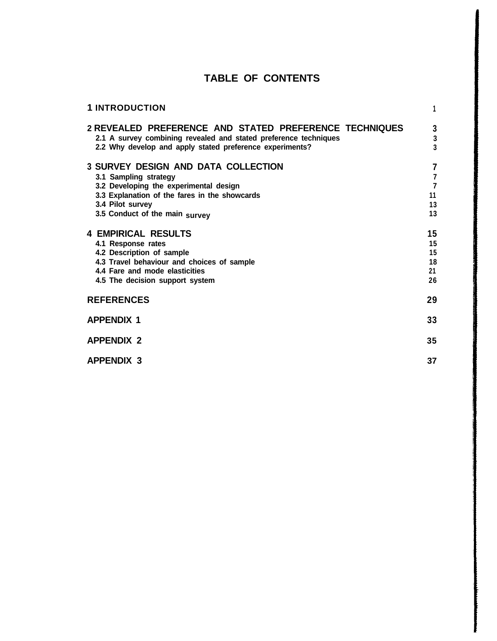## **TABLE OF CONTENTS**

| <b>1 INTRODUCTION</b>                                                                                                                                                                                                |                                            |
|----------------------------------------------------------------------------------------------------------------------------------------------------------------------------------------------------------------------|--------------------------------------------|
| 2 REVEALED PREFERENCE AND STATED PREFERENCE TECHNIQUES<br>2.1 A survey combining revealed and stated preference techniques<br>2.2 Why develop and apply stated preference experiments?                               | 3<br>3<br>3                                |
| <b>3 SURVEY DESIGN AND DATA COLLECTION</b><br>3.1 Sampling strategy<br>3.2 Developing the experimental design<br>3.3 Explanation of the fares in the showcards<br>3.4 Pilot survey<br>3.5 Conduct of the main survey | 7<br>7<br>$\overline{7}$<br>11<br>13<br>13 |
| <b>4 EMPIRICAL RESULTS</b><br>4.1 Response rates<br>4.2 Description of sample<br>4.3 Travel behaviour and choices of sample<br>4.4 Fare and mode elasticities<br>4.5 The decision support system                     | 15<br>15<br>15<br>18<br>21<br>26           |
| <b>REFERENCES</b>                                                                                                                                                                                                    | 29                                         |
| <b>APPENDIX 1</b>                                                                                                                                                                                                    | 33                                         |
| <b>APPENDIX 2</b>                                                                                                                                                                                                    | 35                                         |
| <b>APPENDIX 3</b>                                                                                                                                                                                                    | 37                                         |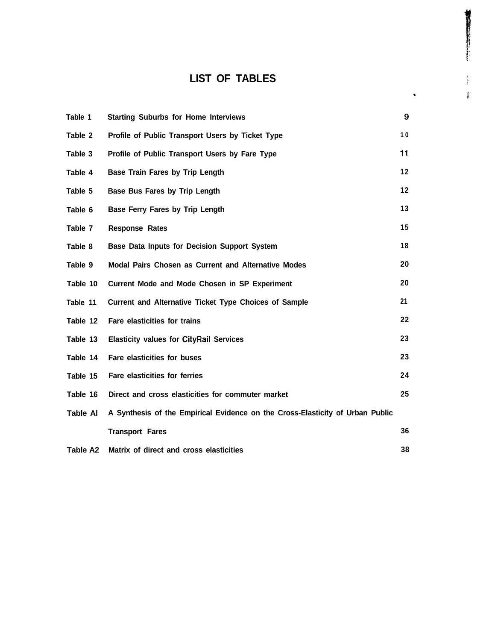## **LIST OF TABLES**

Y

i.

Ŷ 

 $\langle \bullet \rangle$ 

| Table 1         | <b>Starting Suburbs for Home Interviews</b>                                   | 9  |
|-----------------|-------------------------------------------------------------------------------|----|
| Table 2         | Profile of Public Transport Users by Ticket Type                              | 10 |
| Table 3         | Profile of Public Transport Users by Fare Type                                | 11 |
| Table 4         | Base Train Fares by Trip Length                                               | 12 |
| Table 5         | Base Bus Fares by Trip Length                                                 | 12 |
| Table 6         | Base Ferry Fares by Trip Length                                               | 13 |
| Table 7         | <b>Response Rates</b>                                                         | 15 |
| Table 8         | Base Data Inputs for Decision Support System                                  | 18 |
| Table 9         | Modal Pairs Chosen as Current and Alternative Modes                           | 20 |
| Table 10        | Current Mode and Mode Chosen in SP Experiment                                 | 20 |
| Table 11        | Current and Alternative Ticket Type Choices of Sample                         | 21 |
| Table 12        | Fare elasticities for trains                                                  | 22 |
| Table 13        | <b>Elasticity values for CityRail Services</b>                                | 23 |
| Table 14        | Fare elasticities for buses                                                   | 23 |
| Table 15        | Fare elasticities for ferries                                                 | 24 |
| Table 16        | Direct and cross elasticities for commuter market                             | 25 |
| <b>Table AI</b> | A Synthesis of the Empirical Evidence on the Cross-Elasticity of Urban Public |    |
|                 | <b>Transport Fares</b>                                                        | 36 |
| Table A2        | Matrix of direct and cross elasticities                                       | 38 |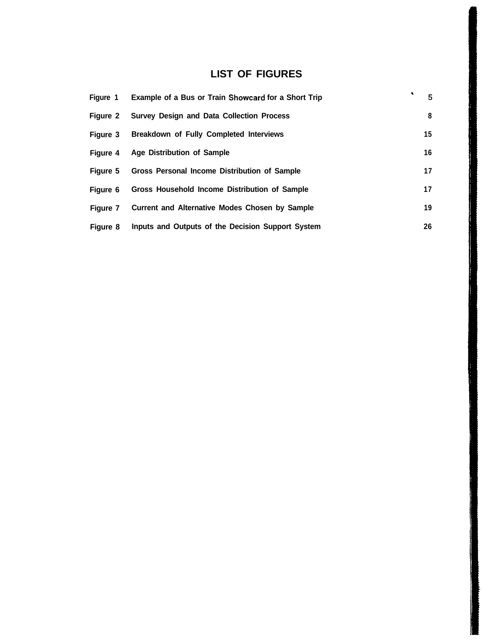## **LIST OF FIGURES**

| Figure 1 | Example of a Bus or Train Showcard for a Short Trip   | 5. |
|----------|-------------------------------------------------------|----|
| Figure 2 | <b>Survey Design and Data Collection Process</b>      | 8  |
|          | Figure 3 Breakdown of Fully Completed Interviews      | 15 |
| Figure 4 | <b>Age Distribution of Sample</b>                     | 16 |
| Figure 5 | <b>Gross Personal Income Distribution of Sample</b>   | 17 |
| Figure 6 | Gross Household Income Distribution of Sample         | 17 |
| Figure 7 | <b>Current and Alternative Modes Chosen by Sample</b> | 19 |
| Figure 8 | Inputs and Outputs of the Decision Support System     | 26 |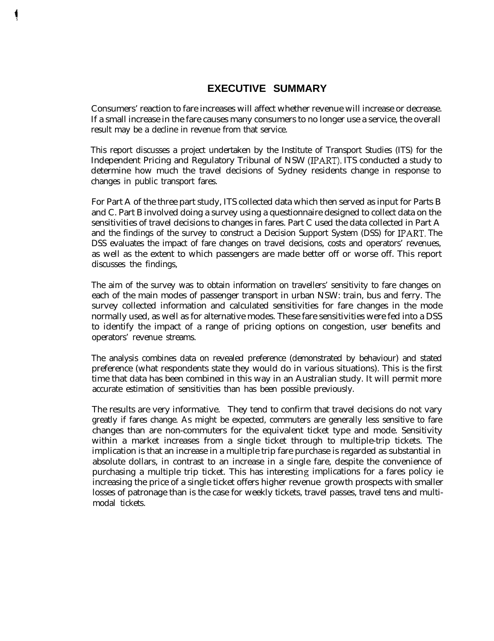### **EXECUTIVE SUMMARY**

Consumers' reaction to fare increases will affect whether revenue will increase or decrease. If a small increase in the fare causes many consumers to no longer use a service, the overall result may be a decline in revenue from that service.

This report discusses a project undertaken by the Institute of Transport Studies (ITS) for the Independent Pricing and Regulatory Tribunal of NSW (IPART). ITS conducted a study to determine how much the travel decisions of Sydney residents change in response to changes in public transport fares.

For Part A of the three part study, ITS collected data which then served as input for Parts B and C. Part B involved doing a survey using a questionnaire designed to collect data on the sensitivities of travel decisions to changes in fares. Part C used the data collected in Part A and the findings of the survey to construct a Decision Support System (DSS) for IPART. The DSS evaluates the impact of fare changes on travel decisions, costs and operators' revenues, as well as the extent to which passengers are made better off or worse off. This report discusses the findings,

The aim of the survey was to obtain information on travellers' sensitivity to fare changes on each of the main modes of passenger transport in urban NSW: train, bus and ferry. The survey collected information and calculated sensitivities for fare changes in the mode normally used, as well as for alternative modes. These fare sensitivities were fed into a DSS to identify the impact of a range of pricing options on congestion, user benefits and operators' revenue streams.

The analysis combines data on revealed preference (demonstrated by behaviour) and stated preference (what respondents state they would do in various situations). This is the first time that data has been combined in this way in an Australian study. It will permit more accurate estimation of sensitivities than has been possible previously.

The results are very informative. They tend to confirm that travel decisions do not vary greatly if fares change. As might be expected, commuters are generally less sensitive to fare changes than are non-commuters for the equivalent ticket type and mode. Sensitivity within a market increases from a single ticket through to multiple-trip tickets. The implication is that an increase in a multiple trip fare purchase is regarded as substantial in absolute dollars, in contrast to an increase in a single fare, despite the convenience of purchasing a multiple trip ticket. This has interestin g implications for a fares policy ie increasing the price of a single ticket offers higher revenue growth prospects with smaller losses of patronage than is the case for weekly tickets, travel passes, travel tens and multimodal tickets.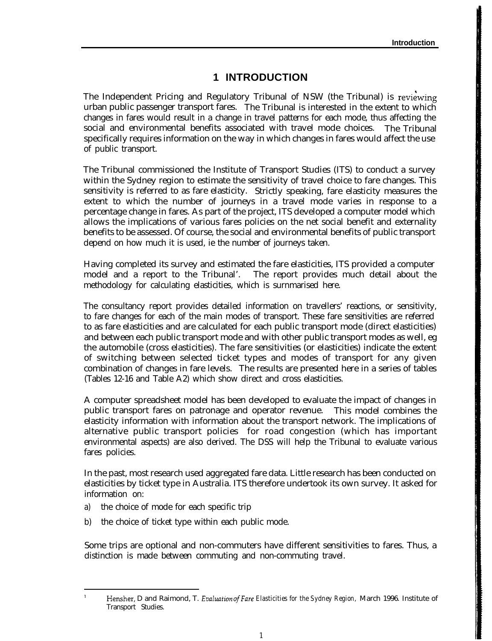## **1 INTRODUCTION**

The Independent Pricing and Regulatory Tribunal of NSW (the Tribunal) is reviewing urban public passenger transport fares. The Tribunal is interested in the extent to which changes in fares would result in a change in travel patterns for each mode, thus affecting the social and environmental benefits associated with travel mode choices. The Tribunal specifically requires information on the way in which changes in fares would affect the use of public transport.

The Tribunal commissioned the Institute of Transport Studies (ITS) to conduct a survey within the Sydney region to estimate the sensitivity of travel choice to fare changes. This sensitivity is referred to as fare elasticity. Strictly speaking, fare elasticity measures the extent to which the number of journeys in a travel mode varies in response to a percentage change in fares. As part of the project, ITS developed a computer model which allows the implications of various fares policies on the net social benefit and externality benefits to be assessed. Of course, the social and environmental benefits of public transport depend on how much it is used, ie the number of journeys taken.

Having completed its survey and estimated the fare elasticities, ITS provided a computer model and a report to the Tribunal'. The report provides much detail about the methodology for calculating elasticities, which is surnmarised here.

The consultancy report provides detailed information on travellers' reactions, or sensitivity, to fare changes for each of the main modes of transport. These fare sensitivities are referred to as fare elasticities and are calculated for each public transport mode (direct elasticities) and between each public transport mode and with other public transport modes as well, eg the automobile (cross elasticities). The fare sensitivities (or elasticities) indicate the extent of switching between selected ticket types and modes of transport for any given combination of changes in fare levels. The results are presented here in a series of tables (Tables 12-16 and Table A2) which show direct and cross elasticities.

A computer spreadsheet model has been developed to evaluate the impact of changes in public transport fares on patronage and operator revenue. This model combines the elasticity information with information about the transport network. The implications of alternative public transport policies for road congestion (which has important environmental aspects) are also derived. The DSS will help the Tribunal to evaluate various fares policies.

In the past, most research used aggregated fare data. Little research has been conducted on elasticities by ticket type in Australia. ITS therefore undertook its own survey. It asked for information on:

- a) the choice of mode for each specific trip
- b) the choice of ticket type within each public mode.

Some trips are optional and non-commuters have different sensitivities to fares. Thus, a distinction is made between commuting and non-commuting travel.

Hensher, D and Raimond, T. *Ezduation of* Fare *Elasticities for the Sydney Region,* March 1996. Institute of Transport Studies.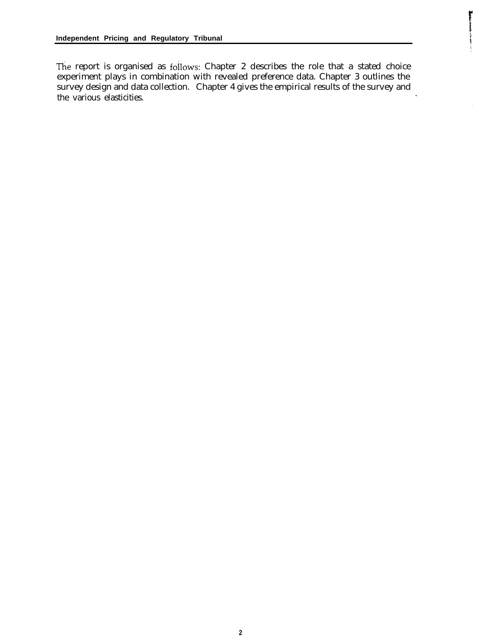The report is organised as follows: Chapter 2 describes the role that a stated choice experiment plays in combination with revealed preference data. Chapter 3 outlines the survey design and data collection. Chapter 4 gives the empirical results of the survey and the various elasticities.

**Electronic views**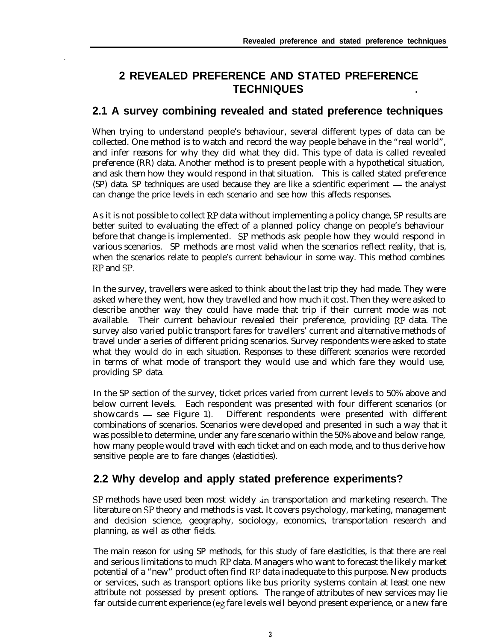## **2 REVEALED PREFERENCE AND STATED PREFERENCE TECHNIQUES .**

## **2.1 A survey combining revealed and stated preference techniques**

When trying to understand people's behaviour, several different types of data can be collected. One method is to watch and record the way people behave in the "real world", and infer reasons for why they did what they did. This type of data is called revealed preference (RR) data. Another method is to present people with a hypothetical situation, and ask them how they would respond in that situation. This is called stated preference  $(SP)$  data. SP techniques are used because they are like a scientific experiment  $-$  the analyst can change the price levels in each scenario and see how this affects responses.

As it is not possible to collect RP data without implementing a policy change, SP results are better suited to evaluating the effect of a planned policy change on people's behaviour before that change is implemented. SP methods ask people how they would respond in various scenarios. SP methods are most valid when the scenarios reflect reality, that is, when the scenarios relate to people's current behaviour in some way. This method combines RP and SP.

In the survey, travellers were asked to think about the last trip they had made. They were asked where they went, how they travelled and how much it cost. Then they were asked to describe another way they could have made that trip if their current mode was not available. Their current behaviour revealed their preference, providing RF' data. The survey also varied public transport fares for travellers' current and alternative methods of travel under a series of different pricing scenarios. Survey respondents were asked to state what they would do in each situation. Responses to these different scenarios were recorded in terms of what mode of transport they would use and which fare they would use, providing SP data.

In the SP section of the survey, ticket prices varied from current levels to 50% above and below current levels. Each respondent was presented with four different scenarios (or showcards — see Figure 1). Different respondents were presented with different combinations of scenarios. Scenarios were developed and presented in such a way that it was possible to determine, under any fare scenario within the 50% above and below range, how many people would travel with each ticket and on each mode, and to thus derive how sensitive people are to fare changes (elasticities).

## **2.2 Why develop and apply stated preference experiments?**

SF' methods have used been most widely in transportation and marketing research. The literature on SP theory and methods is vast. It covers psychology, marketing, management and decision science, geography, sociology, economics, transportation research and planning, as well as other fields.

The main reason for using SP methods, for this study of fare elasticities, is that there are real and serious limitations to much RP data. Managers who want to forecast the likely market potential of a "new" product often find RP data inadequate to this purpose. New products or services, such as transport options like bus priority systems contain at least one new attribute not possessed by present options. The range of attributes of new services may lie far outside current experience (eg fare levels well beyond present experience, or a new fare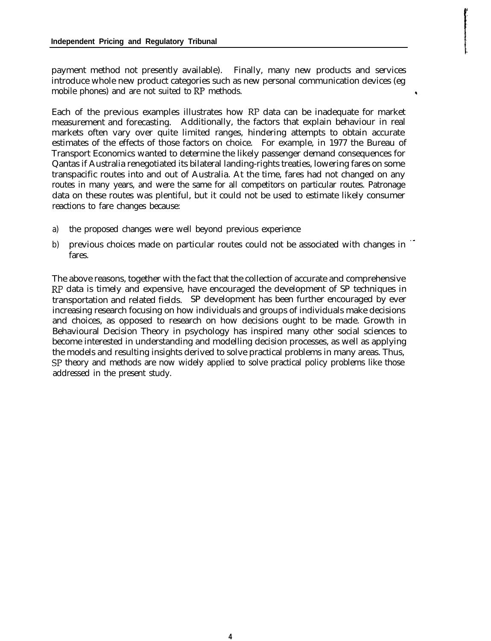payment method not presently available). Finally, many new products and services introduce whole new product categories such as new personal communication devices (eg mobile phones) and are not suited to RP methods.

Each of the previous examples illustrates how RP data can be inadequate for market measurement and forecasting. Additionally, the factors that explain behaviour in real markets often vary over quite limited ranges, hindering attempts to obtain accurate estimates of the effects of those factors on choice. For example, in 1977 the Bureau of Transport Economics wanted to determine the likely passenger demand consequences for Qantas if Australia renegotiated its bilateral landing-rights treaties, lowering fares on some transpacific routes into and out of Australia. At the time, fares had not changed on any routes in many years, and were the same for all competitors on particular routes. Patronage data on these routes was plentiful, but it could not be used to estimate likely consumer reactions to fare changes because:

- a) the proposed changes were well beyond previous experience
- b) previous choices made on particular routes could not be associated with changes in fares.

The above reasons, together with the fact that the collection of accurate and comprehensive RF' data is timely and expensive, have encouraged the development of SP techniques in transportation and related fields. SP development has been further encouraged by ever increasing research focusing on how individuals and groups of individuals make decisions and choices, as opposed to research on how decisions ought to be made. Growth in Behavioural Decision Theory in psychology has inspired many other social sciences to become interested in understanding and modelling decision processes, as well as applying the models and resulting insights derived to solve practical problems in many areas. Thus, SP theory and methods are now widely applied to solve practical policy problems like those addressed in the present study.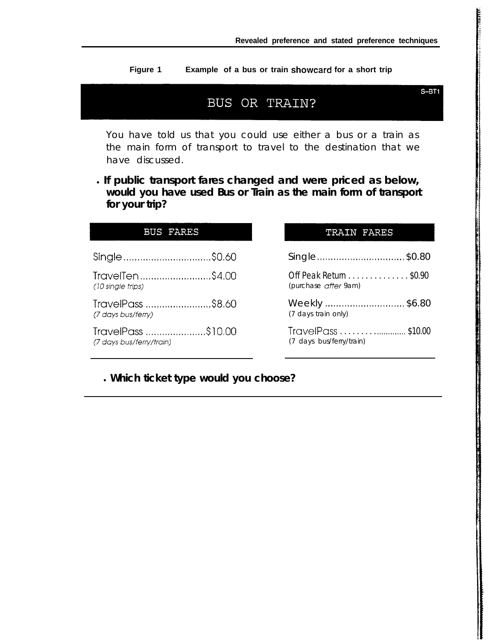$S-BT1$ 

**Figure 1 Example of a bus or train showcard for a short trip**

## BUS OR TRAIN?

You have told us that you could use either a bus or a train as the main form of transport to travel to the destination that we have discussed.

<sup>l</sup>**If public transport fares changed and were priced as below, would you have used Bus or Train as the main form of transport for your trip?**

| <b>BUS FARES</b>                               | TRAIN FARES                                    |  |  |
|------------------------------------------------|------------------------------------------------|--|--|
|                                                | Single\$0.80                                   |  |  |
| TravelTen\$4.00<br>(10 single trips)           | Off Peak Return \$0.90<br>(purchase after 9am) |  |  |
| TravelPass \$8.60<br>(7 days bus/ferry)        | Weekly \$6.80<br>(7 days train only)           |  |  |
| TravelPass \$10.00<br>(7 days bus/ferry/train) | TravelPass \$10.00<br>(7 days bus/ferry/train) |  |  |

### l **Which ticket type would you choose?**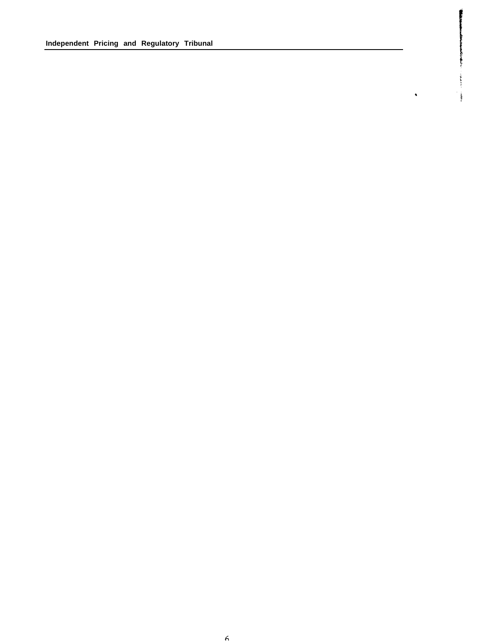**RANGE COMPANY** 

 $\hat{\mathbf{v}}$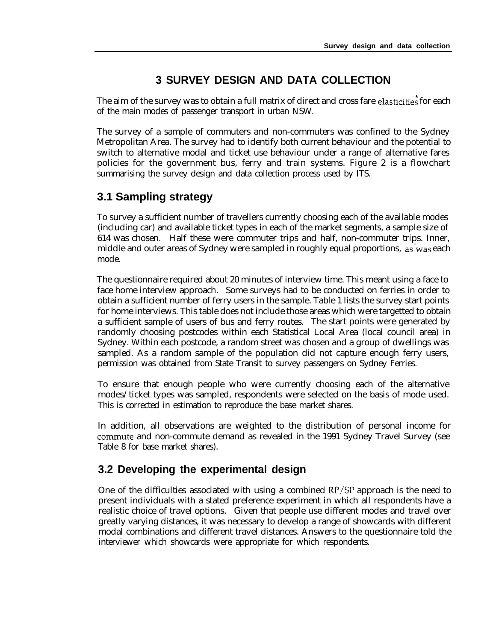## **3 SURVEY DESIGN AND DATA COLLECTION**

The aim of the survey was to obtain a full matrix of direct and cross fare elasticities for each of the main modes of passenger transport in urban NSW.

The survey of a sample of commuters and non-commuters was confined to the Sydney Metropolitan Area. The survey had to identify both current behaviour and the potential to switch to alternative modal and ticket use behaviour under a range of alternative fares policies for the government bus, ferry and train systems. Figure 2 is a flowchart summarising the survey design and data collection process used by ITS.

## **3.1 Sampling strategy**

To survey a sufficient number of travellers currently choosing each of the available modes (including car) and available ticket types in each of the market segments, a sample size of 614 was chosen. Half these were commuter trips and half, non-commuter trips. Inner, middle and outer areas of Sydney were sampled in roughly equal proportions, as was each mode.

The questionnaire required about 20 minutes of interview time. This meant using a face to face home interview approach. Some surveys had to be conducted on ferries in order to obtain a sufficient number of ferry users in the sample. Table 1 lists the survey start points for home interviews. This table does not include those areas which were targetted to obtain a sufficient sample of users of bus and ferry routes. The start points were generated by randomly choosing postcodes within each Statistical Local Area (local council area) in Sydney. Within each postcode, a random street was chosen and a group of dwellings was sampled. As a random sample of the population did not capture enough ferry users, permission was obtained from State Transit to survey passengers on Sydney Ferries.

To ensure that enough people who were currently choosing each of the alternative modes/ticket types was sampled, respondents were selected on the basis of mode used. This is corrected in estimation to reproduce the base market shares.

In addition, all observations are weighted to the distribution of personal income for cornmute and non-commute demand as revealed in the 1991 Sydney Travel Survey (see Table 8 for base market shares).

### **3.2 Developing the experimental design**

One of the difficulties associated with using a combined RP/SP approach is the need to present individuals with a stated preference experiment in which all respondents have a realistic choice of travel options. Given that people use different modes and travel over greatly varying distances, it was necessary to develop a range of showcards with different modal combinations and different travel distances. Answers to the questionnaire told the interviewer which showcards were appropriate for which respondents.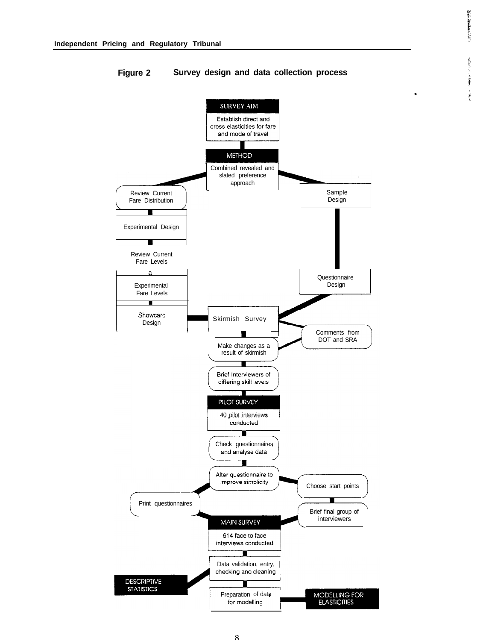g **CONTRACTOR** 

.



### **Figure 2 Survey design and data collection process**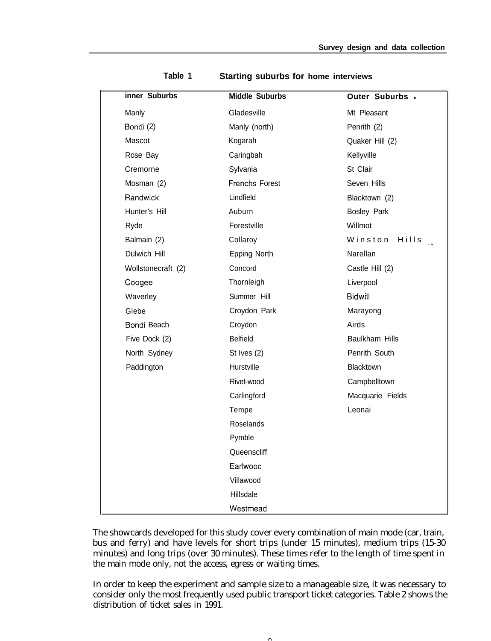| inner Suburbs      | <b>Middle Suburbs</b> | Outer Suburbs.     |
|--------------------|-----------------------|--------------------|
| Manly              | Gladesville           | Mt Pleasant        |
| Bondi (2)          | Manly (north)         | Penrith (2)        |
| Mascot             | Kogarah               | Quaker Hill (2)    |
| Rose Bay           | Caringbah             | Kellyville         |
| Cremorne           | Sylvania              | St Clair           |
| Mosman (2)         | <b>Frenchs Forest</b> | Seven Hills        |
| Randwick           | Lindfield             | Blacktown (2)      |
| Hunter's Hill      | Auburn                | <b>Bosley Park</b> |
| Ryde               | Forestville           | Willmot            |
| Balmain (2)        | Collaroy              | Winston<br>Hills   |
| Dulwich Hill       | <b>Epping North</b>   | Narellan           |
| Wollstonecraft (2) | Concord               | Castle Hill (2)    |
| Coogee             | Thornleigh            | Liverpool          |
| Waverley           | Summer Hill           | <b>Bidwill</b>     |
| Glebe              | Croydon Park          | Marayong           |
| Bondi Beach        | Croydon               | Airds              |
| Five Dock (2)      | <b>Belfield</b>       | Baulkham Hills     |
| North Sydney       | St Ives (2)           | Penrith South      |
| Paddington         | Hurstville            | Blacktown          |
|                    | Rivet-wood            | Campbelltown       |
|                    | Carlingford           | Macquarie Fields   |
|                    | Tempe                 | Leonai             |
|                    | Roselands             |                    |
|                    | Pymble                |                    |
|                    | Queenscliff           |                    |
|                    | Earlwood              |                    |
|                    | Villawood             |                    |
|                    | Hillsdale             |                    |
|                    | Westmead              |                    |

**Table 1 Starting suburbs for home interviews**

The showcards developed for this study cover every combination of main mode (car, train, bus and ferry) and have levels for short trips (under 15 minutes), medium trips (15-30 minutes) and long trips (over 30 minutes). These times refer to the length of time spent in the main mode only, not the access, egress or waiting times.

In order to keep the experiment and sample size to a manageable size, it was necessary to consider only the most frequently used public transport ticket categories. Table 2 shows the distribution of ticket sales in 1991.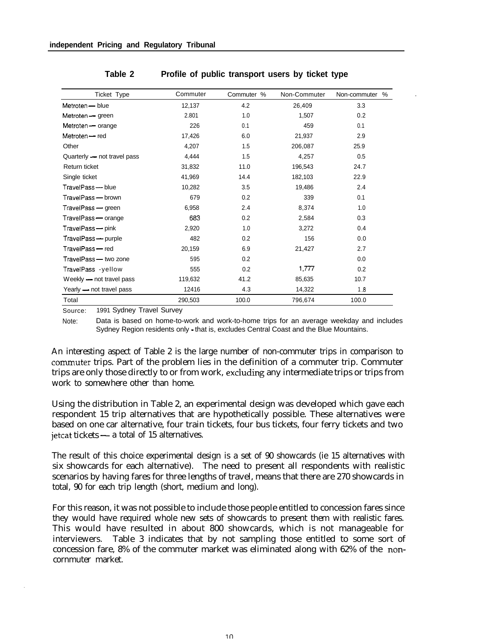| Ticket Type                 | Commuter | Commuter % | Non-Commuter | Non-commuter % |
|-----------------------------|----------|------------|--------------|----------------|
| Metroten - blue             | 12,137   | 4.2        | 26,409       | 3.3            |
| Metroten - green            | 2.801    | 1.0        | 1,507        | 0.2            |
| Metroten - orange           | 226      | 0.1        | 459          | 0.1            |
| Metroten - red              | 17,426   | 6.0        | 21,937       | 2.9            |
| Other                       | 4,207    | 1.5        | 206,087      | 25.9           |
| Quarterly - not travel pass | 4,444    | 1.5        | 4,257        | 0.5            |
| Return ticket               | 31,832   | 11.0       | 196,543      | 24.7           |
| Single ticket               | 41,969   | 14.4       | 182,103      | 22.9           |
| TravelPass - blue           | 10,282   | 3.5        | 19,486       | 2.4            |
| TravelPass - brown          | 679      | 0.2        | 339          | 0.1            |
| TravelPass - green          | 6,958    | 2.4        | 8,374        | 1.0            |
| TravelPass - orange         | 683      | 0.2        | 2,584        | 0.3            |
| TravelPass - pink           | 2,920    | 1.0        | 3,272        | 0.4            |
| TravelPass - purple         | 482      | 0.2        | 156          | 0.0            |
| TravelPass - red            | 20,159   | 6.9        | 21,427       | 2.7            |
| TravelPass - two zone       | 595      | 0.2        |              | 0.0            |
| TravelPass -yellow          | 555      | 0.2        | 1,777        | 0.2            |
| Weekly - not travel pass    | 119,632  | 41.2       | 85,635       | 10.7           |
| Yearly - not travel pass    | 12416    | 4.3        | 14,322       | 1.8            |
| Total                       | 290,503  | 100.0      | 796,674      | 100.0          |

#### **Table 2 Profile of public transport users by ticket type**

Source: 1991 Sydney Travel Survey

Note: Data is based on home-to-work and work-to-home trips for an average weekday and includes Sydney Region residents only - that is, excludes Central Coast and the Blue Mountains.

An interesting aspect of Table 2 is the large number of non-commuter trips in comparison to commuter trips. Part of the problem lies in the definition of a commuter trip. Commuter trips are only those directly to or from work, excluding any intermediate trips or trips from work to somewhere other than home.

Using the distribution in Table 2, an experimental design was developed which gave each respondent 15 trip alternatives that are hypothetically possible. These alternatives were based on one car alternative, four train tickets, four bus tickets, four ferry tickets and two jetcat tickets — a total of 15 alternatives.

The result of this choice experimental design is a set of 90 showcards (ie 15 alternatives with six showcards for each alternative). The need to present all respondents with realistic scenarios by having fares for three lengths of travel, means that there are 270 showcards in total, 90 for each trip length (short, medium and long).

For this reason, it was not possible to include those people entitled to concession fares since they would have required whole new sets of showcards to present them with realistic fares. This would have resulted in about 800 showcards, which is not manageable for interviewers. Table 3 indicates that by not sampling those entitled to some sort of concession fare, 8% of the commuter market was eliminated along with 62% of the noncornmuter market.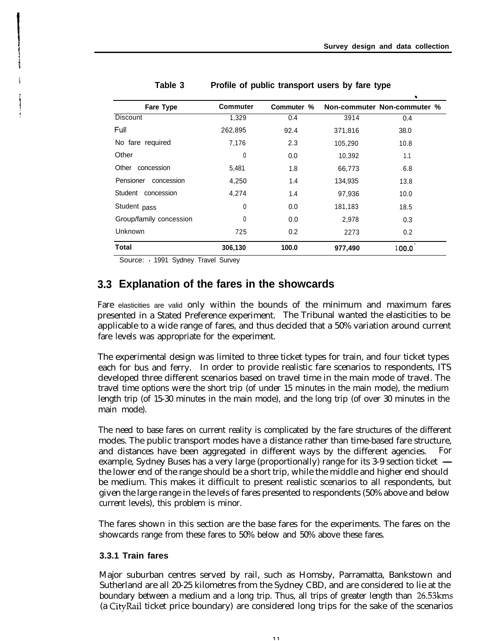|                         |                 |            |         | ٠                           |
|-------------------------|-----------------|------------|---------|-----------------------------|
| Fare Type               | <b>Commuter</b> | Commuter % |         | Non-commuter Non-commuter % |
| <b>Discount</b>         | 1,329           | 0.4        | 3914    | 0.4                         |
| Fuil                    | 262,895         | 92.4       | 371,816 | 38.0                        |
| No fare required        | 7,176           | 2.3        | 105,290 | 10.8                        |
| Other                   | $\theta$        | 0.0        | 10,392  | 1.1                         |
| concession<br>Other     | 5,481           | 1.8        | 66,773  | 6.8                         |
| Pensioner<br>concession | 4,250           | 1.4        | 134,935 | 13.8                        |
| Student<br>concession   | 4,274           | 1.4        | 97.936  | 10.0                        |
| Student pass            | 0               | 0.0        | 181,183 | 18.5                        |
| Group/family concession | $\mathbf{0}$    | 0.0        | 2,978   | 0.3                         |
| Unknown                 | 725             | 0.2        | 2273    | 0.2                         |
| Total                   | 306,130         | 100.0      | 977,490 | 100.0                       |

**Table 3 Profile of public transport users by fare type**

Source: . 1991 Sydney Travel Survey

### **3.3 Explanation of the fares in the showcards**

Fare elasticities are valid only within the bounds of the minimum and maximum fares presented in a Stated Preference experiment. The Tribunal wanted the elasticities to be applicable to a wide range of fares, and thus decided that a 50% variation around current fare levels was appropriate for the experiment.

The experimental design was limited to three ticket types for train, and four ticket types each for bus and ferry. In order to provide realistic fare scenarios to respondents, ITS developed three different scenarios based on travel time in the main mode of travel. The travel time options were the short trip (of under 15 minutes in the main mode), the medium length trip (of 15-30 minutes in the main mode), and the long trip (of over 30 minutes in the main mode).

The need to base fares on current reality is complicated by the fare structures of the different modes. The public transport modes have a distance rather than time-based fare structure, and distances have been aggregated in different ways by the different agencies. For example, Sydney Buses has a very large (proportionally) range for its 3-9 section ticket  $$ the lower end of the range should be a short trip, while the middle and higher end should be medium. This makes it difficult to present realistic scenarios to all respondents, but given the large range in the levels of fares presented to respondents (50% above and below current levels), this problem is minor.

The fares shown in this section are the base fares for the experiments. The fares on the showcards range from these fares to 50% below and 50% above these fares.

#### **3.3.1 Train fares**

Major suburban centres served by rail, such as Homsby, Parramatta, Bankstown and Sutherland are all 20-25 kilometres from the Sydney CBD, and are considered to lie at the boundary between a medium and a long trip. Thus, all trips of greater length than 26.53 kms (a CityRail ticket price boundary) are considered long trips for the sake of the scenarios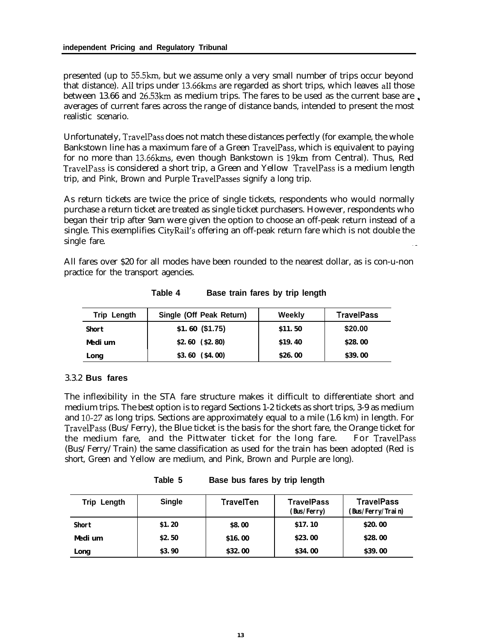presented (up to **55.5km,** but we assume only a very small number of trips occur beyond that distance). All trips under 13.66kms are regarded as short trips, which leaves all those between 13.66 and 26.53km as medium trips. The fares to be used as the current base are , averages of current fares across the range of distance bands, intended to present the most realistic scenario.

Unfortunately, TravelPass does not match these distances perfectly (for example, the whole Bankstown line has a maximum fare of a Green TravelPass, which is equivalent to paying for no more than 13.66kms, even though Bankstown is 19km from Central). Thus, Red TravelPass is considered a short trip, a Green and Yellow TravelPass is a medium length trip, and Pink, Brown and Purple TravelPasses signify a long trip.

As return tickets are twice the price of single tickets, respondents who would normally purchase a return ticket are treated as single ticket purchasers. However, respondents who began their trip after 9am were given the option to choose an off-peak return instead of a single. This exemplifies CityRail's offering an off-peak return fare which is not double the  $\Box$  single fare.

All fares over \$20 for all modes have been rounded to the nearest dollar, as is con-u-non practice for the transport agencies.

| Trip<br>Length | Single (Off Peak Return) | Weekly         | <b>TravelPass</b> |
|----------------|--------------------------|----------------|-------------------|
| Short          | $$1.60$ $($1.75)$        | \$11.50        | \$20.00           |
| Medi um        | $$2.60$ $(S2.80)$        | \$19.40        | <b>\$28.00</b>    |
| Long           | $$3.60$ $$4.00$          | <b>\$26.00</b> | \$39.00           |

| Table 4 |  |  | Base train fares by trip length |
|---------|--|--|---------------------------------|
|         |  |  |                                 |

#### 3.3.2 **Bus fares**

The inflexibility in the STA fare structure makes it difficult to differentiate short and medium trips. The best option is to regard Sections 1-2 tickets as short trips, 3-9 as medium and 10-27 as long trips. Sections are approximately equal to a mile (1.6 km) in length. For TravelPass (Bus/Ferry), the Blue ticket is the basis for the short fare, the Orange ticket for the medium fare, and the Pittwater ticket for the long fare. For TravelPass (Bus/Ferry/Train) the same classification as used for the train has been adopted (Red is short, Green and Yellow are medium, and Pink, Brown and Purple are long).

| Table 5 |  |  |  | Base bus fares by trip length |
|---------|--|--|--|-------------------------------|
|         |  |  |  |                               |

| Trip<br>Length | Single       | TravelTen    | <b>TravelPass</b><br>(Bus/Ferry) | <b>TravelPass</b><br>(Bus/Ferry/Train) |
|----------------|--------------|--------------|----------------------------------|----------------------------------------|
| <b>Short</b>   | <b>S1.20</b> | <b>S8.00</b> | <b>S17.10</b>                    | <b>S20.00</b>                          |
| Medi um        | <b>S2.50</b> | \$16.00      | \$23.00                          | <b>\$28.00</b>                         |
| Long           | <b>S3.90</b> | \$32.00      | \$34.00                          | <b>\$39.00</b>                         |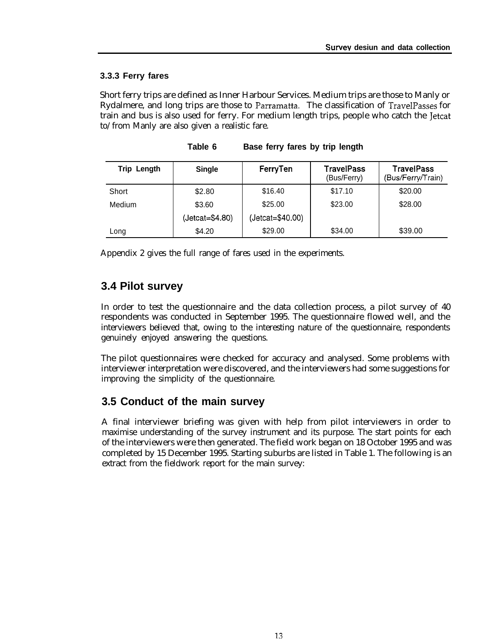### **3.3.3 Ferry fares**

Short ferry trips are defined as Inner Harbour Services. Medium trips are those to Manly or Rydalmere, and long trips are those to Parramatta. The classification of TravelPasses for train and bus is also used for ferry. For medium length trips, people who catch the Jetcat to/from Manly are also given a realistic fare.

| Trip Length | <b>Single</b>   | FerryTen         | <b>TravelPass</b><br>(Bus/Ferry) | <b>TravelPass</b><br>(Bus/Ferry/Train) |
|-------------|-----------------|------------------|----------------------------------|----------------------------------------|
| Short       | \$2.80          | \$16.40          | \$17.10                          | \$20.00                                |
| Medium      | \$3.60          | \$25.00          | \$23.00                          | \$28.00                                |
|             | (Jetcat=\$4.80) | (Jetcat=\$40.00) |                                  |                                        |
| Long        | \$4.20          | \$29.00          | \$34.00                          | \$39.00                                |

**Table 6 Base ferry fares by trip length**

Appendix 2 gives the full range of fares used in the experiments.

## **3.4 Pilot survey**

In order to test the questionnaire and the data collection process, a pilot survey of 40 respondents was conducted in September 1995. The questionnaire flowed well, and the interviewers believed that, owing to the interesting nature of the questionnaire, respondents genuinely enjoyed answering the questions.

The pilot questionnaires were checked for accuracy and analysed. Some problems with interviewer interpretation were discovered, and the interviewers had some suggestions for improving the simplicity of the questionnaire.

## **3.5 Conduct of the main survey**

A final interviewer briefing was given with help from pilot interviewers in order to maximise understanding of the survey instrument and its purpose. The start points for each of the interviewers were then generated. The field work began on 18 October 1995 and was completed by 15 December 1995. Starting suburbs are listed in Table 1. The following is an extract from the fieldwork report for the main survey: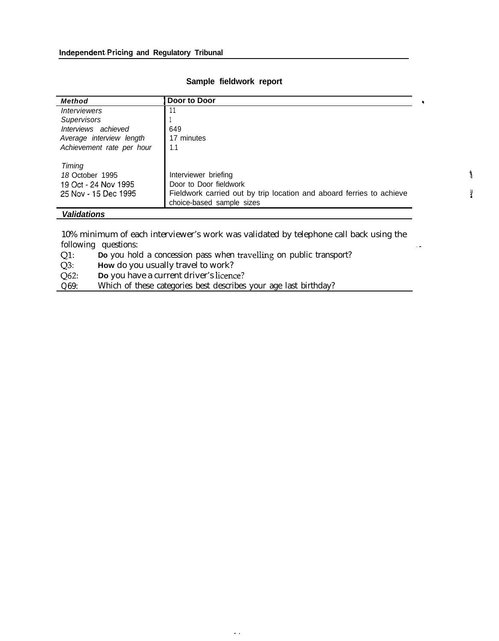| <b>Method</b>             | Door to Door                                                         |  |
|---------------------------|----------------------------------------------------------------------|--|
| Interviewers              |                                                                      |  |
| <b>Supervisors</b>        |                                                                      |  |
| Interviews achieved       | 649                                                                  |  |
| Average interview length  | 17 minutes                                                           |  |
| Achievement rate per hour | 1.1                                                                  |  |
| Timing                    |                                                                      |  |
| 18 October 1995           | Interviewer briefing                                                 |  |
| 19 Oct - 24 Nov 1995      | Door to Door fieldwork                                               |  |
| 25 Nov - 15 Dec 1995      | Fieldwork carried out by trip location and aboard ferries to achieve |  |
|                           | choice-based sample sizes                                            |  |

٩

å

#### **Sample fieldwork report**

### *Validations*

10% minimum of each interviewer's work was validated by telephone call back using the following questions:

 $\sim$   $\sim$ 

Q1: **Do** you hold a concession pass when travelling on public transport?<br>Q3: **How** do you usually travel to work?

**How** do you usually travel to work?

**Do** you have a current driver's licence?

Q62:<br>Q69: Which of these categories best describes your age last birthday?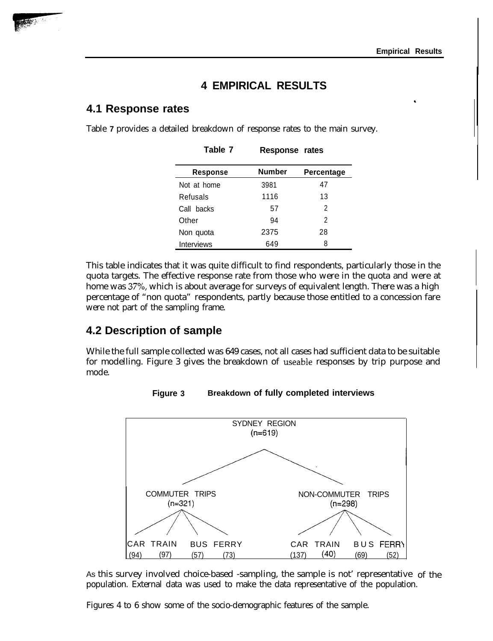.

### **4 EMPIRICAL RESULTS**

### **4.1 Response rates**

Table **7** provides a detailed breakdown of response rates to the main survey.

| Table 7           | Response rates |                |  |
|-------------------|----------------|----------------|--|
| Response          | <b>Number</b>  | Percentage     |  |
| Not at home       | 3981           | 47             |  |
| Refusals          | 1116           | 13             |  |
| Call backs        | 57             | $\mathfrak{p}$ |  |
| Other             | 94             | 2              |  |
| Non quota         | 2375           | 28             |  |
| <b>Interviews</b> | 649            | 8              |  |

This table indicates that it was quite difficult to find respondents, particularly those in the quota targets. The effective response rate from those who were in the quota and were at home was 37%, which is about average for surveys of equivalent length. There was a high percentage of "non quota" respondents, partly because those entitled to a concession fare were not part of the sampling frame.

## **4.2 Description of sample**

While the full sample collected was 649 cases, not all cases had sufficient data to be suitable for modelling. Figure 3 gives the breakdown of useable responses by trip purpose and mode.



**Figure 3 Breakdown of fully completed interviews**

As this survey involved choice-based -sampling, the sample is not' representative of the population. External data was used to make the data representative of the population.

Figures 4 to 6 show some of the socio-demographic features of the sample.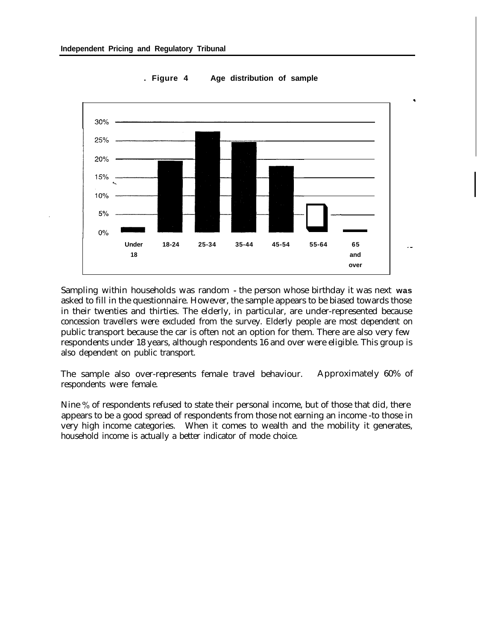

**. Figure 4 Age distribution of sample**

Sampling within households was random - the person whose birthday it was next **was** asked to fill in the questionnaire. However, the sample appears to be biased towards those in their twenties and thirties. The elderly, in particular, are under-represented because concession travellers were excluded from the survey. Elderly people are most dependent on public transport because the car is often not an option for them. There are also very few respondents under 18 years, although respondents 16 and over were eligible. This group is also dependent on public transport.

The sample also over-represents female travel behaviour. Approximately 60% of respondents were female.

Nine % of respondents refused to state their personal income, but of those that did, there appears to be a good spread of respondents from those not earning an income -to those in very high income categories. When it comes to wealth and the mobility it generates, household income is actually a better indicator of mode choice.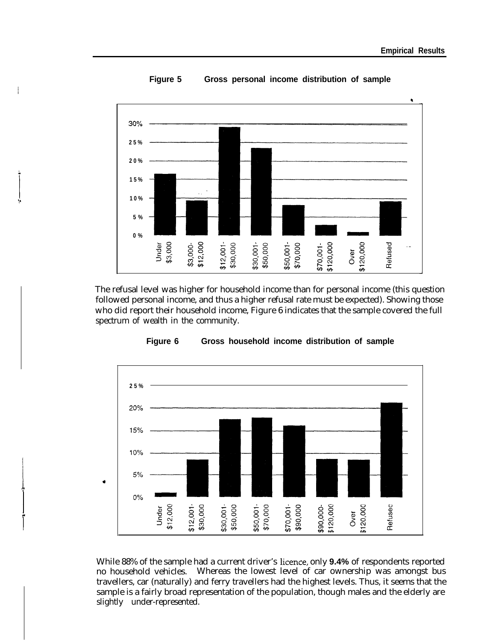

**Figure 5 Gross personal income distribution of sample**

Ì

The refusal level was higher for household income than for personal income (this question followed personal income, and thus a higher refusal rate must be expected). Showing those who did report their household income, Figure 6 indicates that the sample covered the full spectrum of wealth in the community.



**Figure 6 Gross household income distribution of sample**

While 88% of the sample had a current driver's licence, only **9.4%** of respondents reported no household vehicles. Whereas the lowest level of car ownership was amongst bus travellers, car (naturally) and ferry travellers had the highest levels. Thus, it seems that the sample is a fairly broad representation of the population, though males and the elderly are slightly under-represented.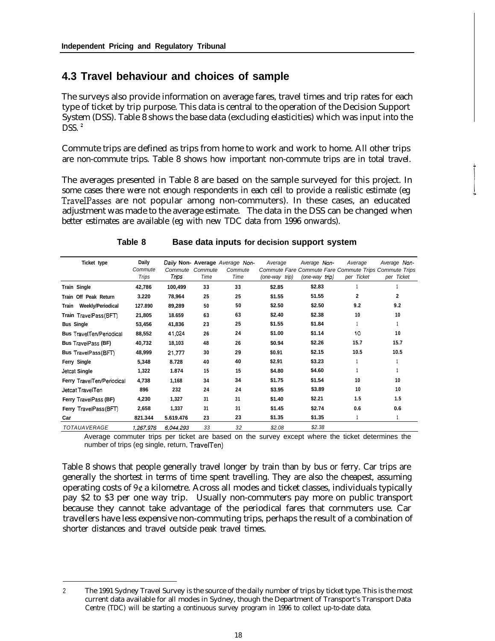### **4.3 Travel behaviour and choices of sample**

The surveys also provide information on average fares, travel times and trip rates for each type of ticket by trip purpose. This data is central to the operation of the Decision Support System (DSS). Table 8 shows the base data (excluding elasticities) which was input into the  $\overline{D}SS.$ <sup>2</sup>

Commute trips are defined as trips from home to work and work to home. All other trips are non-commute trips. Table 8 shows how important non-commute trips are in total travel.

The averages presented in Table 8 are based on the sample surveyed for this project. In some cases there were not enough respondents in each cell to provide a realistic estimate (eg TravelPasses are not popular among non-commuters). In these cases, an educated adjustment was made to the average estimate. The data in the DSS can be changed when better estimates are available (eg with new TDC data from 1996 onwards).

| Ticket type                     | Daily     |           |         | Daily Non- Average Average Non- | Average        | Average Non-   | Average     | Average Non-                                          |
|---------------------------------|-----------|-----------|---------|---------------------------------|----------------|----------------|-------------|-------------------------------------------------------|
|                                 | Commute   | Commute   | Commute | Commute                         |                |                |             | Commute Fare Commute Fare Commute Trips Commute Trips |
|                                 | Trips     | Trips     | Time    | Time                            | (one-way trip) | (one-way trip) | per Ticket  | per Ticket                                            |
| <b>Train Single</b>             | 42,786    | 100,499   | 33      | 33                              | \$2.85         | \$2.83         |             |                                                       |
| Train Off Peak Return           | 3.220     | 78,964    | 25      | 25                              | \$1.55         | 51.55          | $\mathbf 2$ | $\mathbf 2$                                           |
| Weekly/Periodical<br>Train      | 127.890   | 89,289    | 50      | 50                              | \$2.50         | \$2.50         | 9.2         | 9.2                                                   |
| Train TravelPass (BFT)          | 21,805    | 18.659    | 63      | 63                              | \$2.40         | \$2.38         | 10          | 10                                                    |
| <b>Bus Single</b>               | 53,456    | 41,836    | 23      | 25                              | \$1.55         | \$1.84         |             |                                                       |
| <b>Bus TravelTen/Periodical</b> | 88,552    | 41,024    | 26      | 24                              | \$1.00         | \$1.14         | 10          | 10                                                    |
| Bus TravelPass (BF)             | 40,732    | 18,103    | 48      | 26                              | \$0.94         | \$2.26         | 15.7        | 15.7                                                  |
| Bus TravelPass(BFT)             | 48,999    | 21,777    | 30      | 29                              | \$0.91         | \$2.15         | 10.5        | 10.5                                                  |
| Ferry Single                    | 5,348     | 8.728     | 40      | 40                              | \$2.91         | \$3.23         |             |                                                       |
| <b>Jetcat Single</b>            | 1,322     | 1.874     | 15      | 15                              | \$4.80         | \$4.60         |             |                                                       |
| Ferry TravelTen/Periodical      | 4,738     | 1,168     | 34      | 34                              | \$1.75         | \$1.54         | 10          | 10                                                    |
| Jetcat TravelTen                | 896       | 232       | 24      | 24                              | \$3.95         | \$3.89         | 10          | 10                                                    |
| Ferry TravelPass (BF)           | 4,230     | 1,327     | 31      | 31                              | \$1.40         | \$2.21         | 1.5         | 1.5                                                   |
| Ferry TravelPass (BFT)          | 2,658     | 1,337     | 31      | 31                              | \$1.45         | \$2.74         | 0.6         | 0.6                                                   |
| Car                             | 821.344   | 5.619.476 | 23      | 23                              | \$1.35         | \$1.35         |             |                                                       |
| <b>TOTAUAVERAGE</b>             | 1.267,976 | 6,044,293 | 33      | 32                              | \$2.08         | \$2.38         |             |                                                       |

#### **Table 8 Base data inputs for decision support system**

Average commuter trips per ticket are based on the survey except where the ticket determines the number of trips (eg single, return, TravelTen)

Table 8 shows that people generally travel longer by train than by bus or ferry. Car trips are generally the shortest in terms of time spent travelling. They are also the cheapest, assuming operating costs of  $9¢$  a kilometre. Across all modes and ticket classes, individuals typically pay \$2 to \$3 per one way trip. Usually non-commuters pay more on public transport because they cannot take advantage of the periodical fares that cornmuters use. Car travellers have less expensive non-commuting trips, perhaps the result of a combination of shorter distances and travel outside peak travel times.

2 The 1991 Sydney Travel Survey is the source of the daily number of trips by ticket type. This is the most current data available for all modes in Sydney, though the Department of Transport's Transport Data Centre (TDC) will be starting a continuous survey program in 1996 to collect up-to-date data.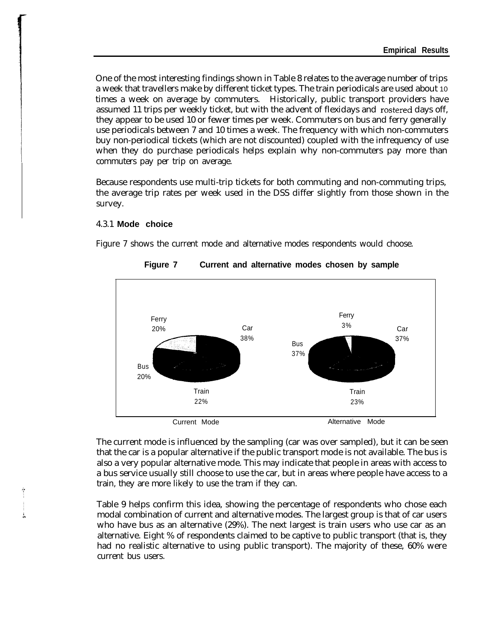One of the most interesting findings shown in Table 8 relates to the average number of trips a week that travellers make by different ticket types. The train periodicals are used about 10 times a week on average by commuters. Historically, public transport providers have assumed 11 trips per weekly ticket, but with the advent of flexidays and rostered days off, they appear to be used 10 or fewer times per week. Commuters on bus and ferry generally use periodicals between 7 and 10 times a week. The frequency with which non-commuters buy non-periodical tickets (which are not discounted) coupled with the infrequency of use when they do purchase periodicals helps explain why non-commuters pay more than commuters pay per trip on average.

Because respondents use multi-trip tickets for both commuting and non-commuting trips, the average trip rates per week used in the DSS differ slightly from those shown in the survey.

#### 4.3.1 **Mode choice**

Figure 7 shows the current mode and alternative modes respondents would choose.



**Figure 7 Current and alternative modes chosen by sample**

The current mode is influenced by the sampling (car was over sampled), but it can be seen that the car is a popular alternative if the public transport mode is not available. The bus is also a very popular alternative mode. This may indicate that people in areas with access to a bus service usually still choose to use the car, but in areas where people have access to a train, they are more likely to use the tram if they can.

Table 9 helps confirm this idea, showing the percentage of respondents who chose each modal combination of current and alternative modes. The largest group is that of car users who have bus as an alternative (29%). The next largest is train users who use car as an alternative. Eight % of respondents claimed to be captive to public transport (that is, they had no realistic alternative to using public transport). The majority of these, 60% were current bus users.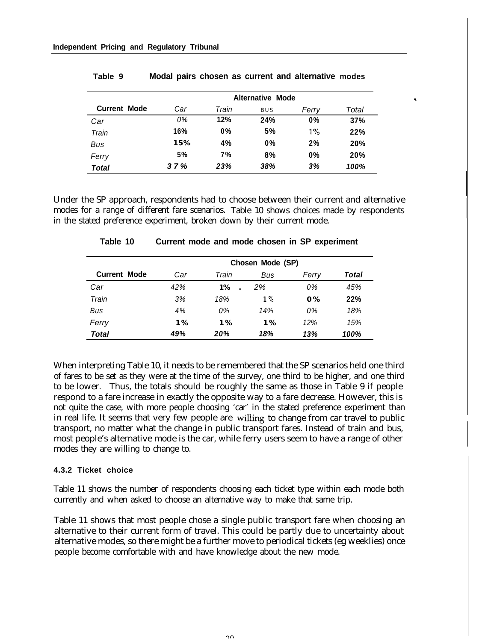|                     |     |       | <b>Alternative Mode</b> |       |       |
|---------------------|-----|-------|-------------------------|-------|-------|
| <b>Current Mode</b> | Car | Train | <b>BUS</b>              | Ferry | Total |
| Car                 | 0%  | 12%   | 24%                     | 0%    | 37%   |
| Train               | 16% | 0%    | 5%                      | $1\%$ | 22%   |
| Bus                 | 15% | 4%    | 0%                      | 2%    | 20%   |
| Ferry               | 5%  | 7%    | 8%                      | 0%    | 20%   |
| <b>Total</b>        | 37% | 23%   | 38%                     | 3%    | 100%  |
|                     |     |       |                         |       |       |

**Table 9 Modal pairs chosen as current and alternative modes**

Under the SP approach, respondents had to choose between their current and alternative modes for a range of different fare scenarios. Table 10 shows choices made by respondents in the stated preference experiment, broken down by their current mode.

|                     |     |            | Chosen Mode (SP) |       |       |
|---------------------|-----|------------|------------------|-------|-------|
| <b>Current Mode</b> | Car | Train      | Bus              | Ferry | Total |
| Car                 | 42% | 1%         | 2%               | 0%    | 45%   |
| Train               | 3%  | 18%        | $1\%$            | 0%    | 22%   |
| Bus                 | 4%  | 0%         | 14%              | 0%    | 18%   |
| Ferry               | 1 % | <b>1</b> % | <b>1</b> %       | 12%   | 15%   |
| <b>Total</b>        | 49% | 20%        | 18%              | 13%   | 100%  |

**Table 10 Current mode and mode chosen in SP experiment**

When interpreting Table 10, it needs to be remembered that the SP scenarios held one third of fares to be set as they were at the time of the survey, one third to be higher, and one third to be lower. Thus, the totals should be roughly the same as those in Table 9 if people respond to a fare increase in exactly the opposite way to a fare decrease. However, this is not quite the case, with more people choosing 'car' in the stated preference experiment than in real life. It seems that very few people are willing to change from car travel to public transport, no matter what the change in public transport fares. Instead of train and bus, most people's alternative mode is the car, while ferry users seem to have a range of other modes they are willing to change to.

#### **4.3.2 Ticket choice**

Table 11 shows the number of respondents choosing each ticket type within each mode both currently and when asked to choose an alternative way to make that same trip.

Table 11 shows that most people chose a single public transport fare when choosing an alternative to their current form of travel. This could be partly due to uncertainty about alternative modes, so there might be a further move to periodical tickets (eg weeklies) once people become comfortable with and have knowledge about the new mode.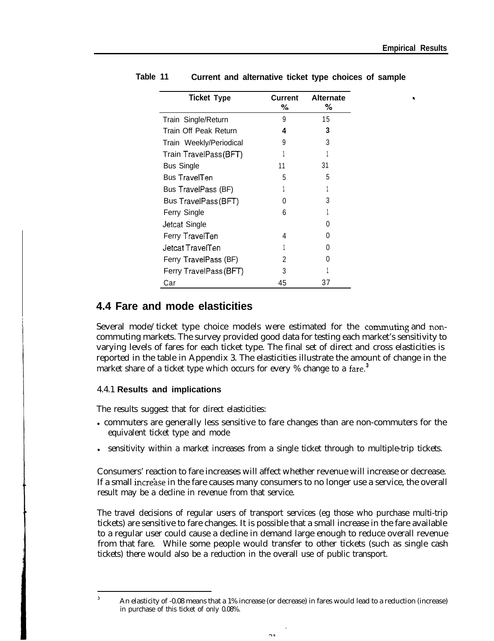| <b>Ticket Type</b>      | <b>Current</b><br>℅ | <b>Alternate</b><br>℅ |
|-------------------------|---------------------|-----------------------|
| Train Single/Return     | 9                   | 15                    |
| Train Off Peak Return   | 4                   | 3                     |
| Train Weekly/Periodical | 9                   | 3                     |
| Train TravelPass (BFT)  |                     |                       |
| <b>Bus Single</b>       | 11                  | 31                    |
| <b>Bus TravelTen</b>    | 5                   | 5                     |
| Bus TravelPass (BF)     |                     |                       |
| Bus TravelPass (BFT)    | 0                   | 3                     |
| Ferry Single            | 6                   |                       |
| Jetcat Single           |                     | 0                     |
| Ferry TravelTen         | 4                   |                       |
| Jetcat TravelTen        |                     |                       |
| Ferry TravelPass (BF)   | 2                   | 0                     |
| Ferry TravelPass (BFT)  | 3                   |                       |
| Car                     | 45                  | 37                    |

**Table 11 Current and alternative ticket type choices of sample**

### **4.4 Fare and mode elasticities**

Several mode/ticket type choice models were estimated for the commuting and noncommuting markets. The survey provided good data for testing each market's sensitivity to varying levels of fares for each ticket type. The final set of direct and cross elasticities is reported in the table in Appendix 3. The elasticities illustrate the amount of change in the market share of a ticket type which occurs for every % change to a fare.<sup>3</sup>

#### 4.4.1 **Results and implications**

The results suggest that for direct elasticities:

- commuters are generally less sensitive to fare changes than are non-commuters for the equivalent ticket type and mode
- sensitivity within a market increases from a single ticket through to multiple-trip tickets.

Consumers' reaction to fare increases will affect whether revenue will increase or decrease. If a small incre'ase in the fare causes many consumers to no longer use a service, the overall result may be a decline in revenue from that service.

The travel decisions of regular users of transport services (eg those who purchase multi-trip tickets) are sensitive to fare changes. It is possible that a small increase in the fare available to a regular user could cause a decline in demand large enough to reduce overall revenue from that fare. While some people would transfer to other tickets (such as single cash tickets) there would also be a reduction in the overall use of public transport.

<sup>&</sup>lt;sup>3</sup> An elasticity of -0.08 means that a 1% increase (or decrease) in fares would lead to a reduction (increase) in purchase of this ticket of only 0.08%.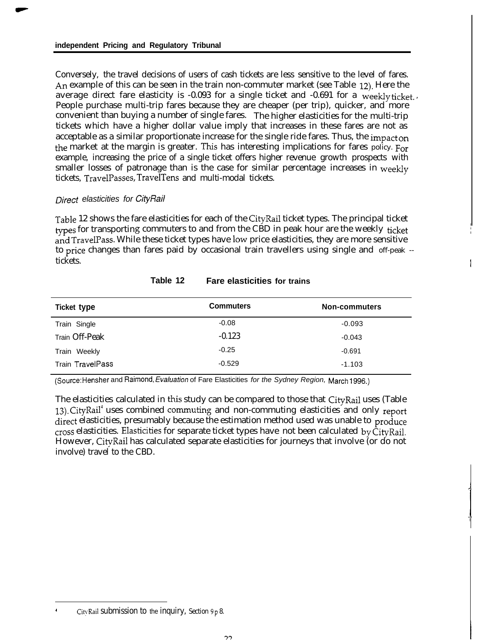Conversely, the travel decisions of users of cash tickets are less sensitive to the level of fares. An example of this can be seen in the train non-commuter market (see Table 12). Here the average direct fare elasticity is  $-0.093$  for a single ticket and  $-0.691$  for a weekly ticket. People purchase multi-trip fares because they are cheaper (per trip), quicker, and more convenient than buying a number of single fares. The higher elasticities for the multi-trip tickets which have a higher dollar value imply that increases in these fares are not as acceptable as a similar proportionate increase for the single ride fares. Thus, the impact on the market at the margin is greater. *This* has interesting implications for fares policy. For example, increasing the price of a single ticket offers higher revenue growth prospects with smaller losses of patronage than is the case for similar percentage increases in weekly tickets, TravelPasses, TravelTens and multi-modal tickets.

#### Direct *elasticities for CityRail*

*Table* 12 shows the fare elasticities for each of the CityRail ticket types. The principal ticket types for transporting commuters to and from the CBD in peak hour are the weekly ticket and TravelPass. While these ticket types have low price elasticities, they are more sensitive to price changes than fares paid by occasional train travellers using single and off-peak - tickets.

| <b>Ticket type</b> | <b>Commuters</b> | <b>Non-commuters</b> |
|--------------------|------------------|----------------------|
| Train Single       | $-0.08$          | $-0.093$             |
| Train Off-Peak     | $-0.123$         | $-0.043$             |
| Train Weekly       | $-0.25$          | $-0.691$             |
| Train TravelPass   | $-0.529$         | $-1.103$             |
|                    |                  |                      |

#### **Table 12 Fare elasticities for trains**

(Source: Hensher and Raimond, Evaluation of Fare Elasticities for the Sydney Region, March 1996.)

The elasticities calculated in this study can be compared to those that CityRail uses (Table 13). CityRail<sup>4</sup> uses combined commuting and non-commuting elasticities and only report direct elasticities, presumably because the estimation method used was unable to produce cross elasticities. Elasticities for separate ticket types have not been calculated by  $\tilde{C}$ ityRail. However, CityRail has calculated separate elasticities for journeys that involve (or do not involve) travel to the CBD.

City Rail submission to the inquiry, Section 9 p 8.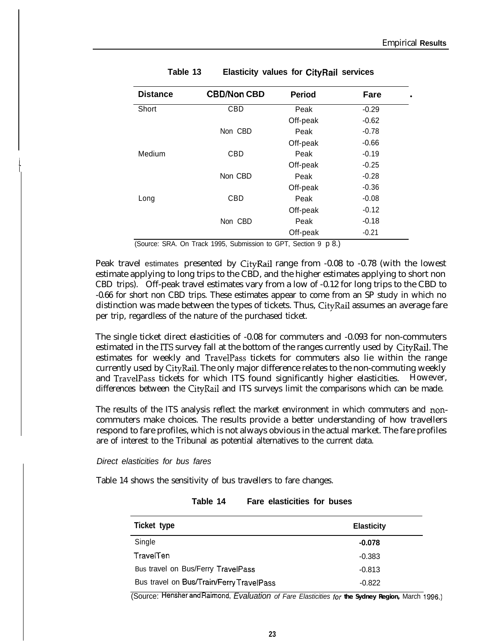| <b>Distance</b> | <b>CBD/Non CBD</b> | <b>Period</b> | <b>Fare</b> |
|-----------------|--------------------|---------------|-------------|
| Short           | CBD                | Peak          | $-0.29$     |
|                 |                    | Off-peak      | $-0.62$     |
|                 | Non CBD            | Peak          | $-0.78$     |
|                 |                    | Off-peak      | $-0.66$     |
| Medium          | <b>CBD</b>         | Peak          | $-0.19$     |
|                 |                    | Off-peak      | $-0.25$     |
|                 | Non CBD            | Peak          | $-0.28$     |
|                 |                    | Off-peak      | $-0.36$     |
| Long            | <b>CBD</b>         | Peak          | $-0.08$     |
|                 |                    | Off-peak      | $-0.12$     |
|                 | Non CBD            | Peak          | $-0.18$     |
|                 |                    | Off-peak      | $-0.21$     |

| <b>Elasticity values for CityRail services</b> | Table 13 |  |  |  |  |  |
|------------------------------------------------|----------|--|--|--|--|--|
|------------------------------------------------|----------|--|--|--|--|--|

(Source: SRA. On Track 1995, Submission to GPT, Section 9 p 8.)

Peak travel estimates presented by CityRail range from -0.08 to -0.78 (with the lowest estimate applying to long trips to the CBD, and the higher estimates applying to short non CBD trips). Off-peak travel estimates vary from a low of -0.12 for long trips to the CBD to -0.66 for short non CBD trips. These estimates appear to come from an SP study in which no distinction was made between the types of tickets. Thus, CityRail assumes an average fare per trip, regardless of the nature of the purchased ticket.

The single ticket direct elasticities of -0.08 for commuters and -0.093 for non-commuters estimated in the ITS survey fall at the bottom of the ranges currently used by CityRail. The estimates for weekly and TravelPass tickets for commuters also lie within the range currently used by CityRail. The only major difference relates to the non-commuting weekly and TravelPass tickets for which ITS found significantly higher elasticities. However, differences between the CityRail and ITS surveys limit the comparisons which can be made.

The results of the ITS analysis reflect the market environment in which commuters and noncommuters make choices. The results provide a better understanding of how travellers respond to fare profiles, which is not always obvious in the actual market. The fare profiles are of interest to the Tribunal as potential alternatives to the current data.

*Direct elasticities for bus fares*

Table 14 shows the sensitivity of bus travellers to fare changes.

| Ticket type                              | <b>Elasticity</b> |
|------------------------------------------|-------------------|
| Single                                   | $-0.078$          |
| TravelTen                                | $-0.383$          |
| Bus travel on Bus/Ferry TravelPass       | $-0.813$          |
| Bus travel on Bus/Train/Ferry TravelPass | $-0.822$          |

| Table 14 | Fare elasticities for buses |  |  |
|----------|-----------------------------|--|--|
|----------|-----------------------------|--|--|

(Source: Hensher and Raimond, *Evaluation of Fare Elasticities for the Sydney Region,* March *1996.)*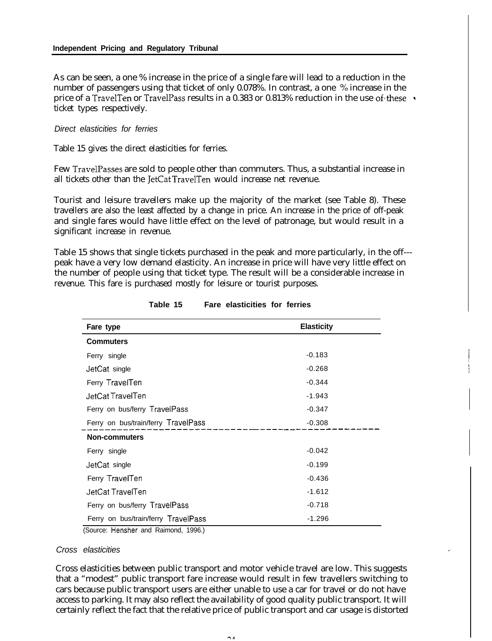As can be seen, a one % increase in the price of a single fare will lead to a reduction in the number of passengers using that ticket of only 0.078%. In contrast, a one % increase in the price of a TravelTen or TravelPass results in a 0.383 or 0.813% reduction in the use of these \* ticket types respectively.

#### *Direct elasticities for ferries*

Table 15 gives the direct elasticities for ferries.

Few TravelPasses are sold to people other than commuters. Thus, a substantial increase in all tickets other than the JetCat TravelTen would increase net revenue.

Tourist and leisure travellers make up the majority of the market (see Table 8). These travellers are also the least affected by a change in price. An increase in the price of off-peak and single fares would have little effect on the level of patronage, but would result in a significant increase in revenue.

Table 15 shows that single tickets purchased in the peak and more particularly, in the off-- peak have a very low demand elasticity. An increase in price will have very little effect on the number of people using that ticket type. The result will be a considerable increase in revenue. This fare is purchased mostly for leisure or tourist purposes.

| Fare type                           | <b>Elasticity</b> |
|-------------------------------------|-------------------|
| <b>Commuters</b>                    |                   |
| Ferry single                        | $-0.183$          |
| JetCat single                       | $-0.268$          |
| Ferry TravelTen                     | $-0.344$          |
| JetCat TravelTen                    | $-1.943$          |
| Ferry on bus/ferry TravelPass       | $-0.347$          |
| Ferry on bus/train/ferry TravelPass | $-0.308$          |
| <b>Non-commuters</b>                |                   |
| Ferry single                        | $-0.042$          |
| JetCat single                       | $-0.199$          |
| Ferry TravelTen                     | $-0.436$          |
| JetCat TravelTen                    | $-1.612$          |
| Ferry on bus/ferry TravelPass       | $-0.718$          |
| Ferry on bus/train/ferry TravelPass | $-1.296$          |
| (Source: Hensher and Raimond 1996)  |                   |

\_.

| Table 15 | Fare elasticities for ferries |  |
|----------|-------------------------------|--|
|          |                               |  |

ource: Hensher and Raimond, 1996.)

#### *Cross elasticities*

Cross elasticities between public transport and motor vehicle travel are low. This suggests that a "modest" public transport fare increase would result in few travellers switching to cars because public transport users are either unable to use a car for travel or do not have access to parking. It may also reflect the availability of good quality public transport. It will certainly reflect the fact that the relative price of public transport and car usage is distorted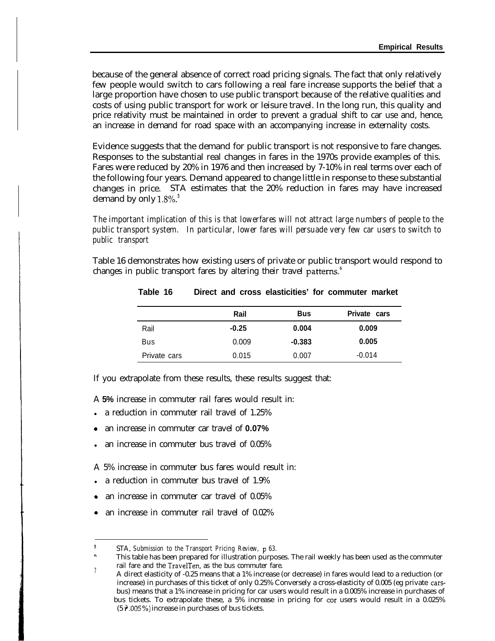because of the general absence of correct road pricing signals. The fact that only relatively few people would switch to cars following a real fare increase supports the belief that a large proportion have chosen to use public transport because of the relative qualities and costs of using public transport for work or leisure travel. In the long run, this quality and price relativity must be maintained in order to prevent a gradual shift to car use and, hence, an increase in demand for road space with an accompanying increase in externality costs.

Evidence suggests that the demand for public transport is not responsive to fare changes. Responses to the substantial real changes in fares in the 1970s provide examples of this. Fares were reduced by 20% in 1976 and then increased by 7-10% in real terms over each of the following four years. Demand appeared to change little in response to these substantial changes in price. STA estimates that the 20% reduction in fares may have increased demand by only 1.8%.'

*The important implication of this is that lowerfares will not attract large numbers of people to the public transport system. In particular, lower fares will persuade very few car users to switch to public transport*

Table 16 demonstrates how existing users of private or public transport would respond to changes in public transport fares by altering their travel patterns.<sup>6</sup>

|              | Rail    | <b>Bus</b> | Private cars |
|--------------|---------|------------|--------------|
| Rail         | $-0.25$ | 0.004      | 0.009        |
| <b>Bus</b>   | 0.009   | $-0.383$   | 0.005        |
| Private cars | 0.015   | 0.007      | $-0.014$     |

#### **Table 16 Direct and cross elasticities' for commuter market**

If you extrapolate from these results, these results suggest that:

A **5%** increase in commuter rail fares would result in:

- a reduction in commuter rail travel of 1.25%
- <sup>0</sup> an increase in commuter car travel of **0.07%**
- an increase in commuter bus travel of  $0.05\%$

A 5% increase in commuter bus fares would result in:

- a reduction in commuter bus travel of 1.9%
- 0 an increase in commuter car travel of 0.05%
- <sup>0</sup> an increase in commuter rail travel of 0.02%

<sup>5</sup> STA, *Submission to the Transport Pricing Review, p 63.*

This table has been prepared for illustration purposes. The rail weekly has been used as the commuter rail fare and the TravelTen, as the bus commuter fare.

<sup>&</sup>lt;sup>7</sup> A direct elasticity of -0.25 means that a 1% increase (or decrease) in fares would lead to a reduction (or increase) in purchases of this ticket of only 0.25% Conversely a cross-elasticity of 0.005 (eg private carsbus) means that a 1% increase in pricing for car users would result in a 0.005% increase in purchases of bus tickets. To extrapolate these, a 5% increase in pricing for cor users would result in a 0.025%  $(5 \n\cdot 0.005\%)$  increase in purchases of bus tickets.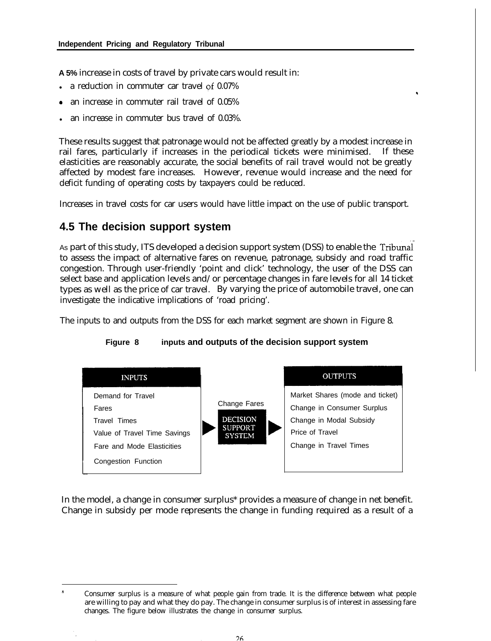**A 5%** increase in costs of travel by private cars would result in:

- a reduction in commuter car travel of 0.07%
- <sup>0</sup> an increase in commuter rail travel of 0.05%
- an increase in commuter bus travel of 0.03%.

These results suggest that patronage would not be affected greatly by a modest increase in rail fares, particularly if increases in the periodical tickets were minimised. If these elasticities are reasonably accurate, the social benefits of rail travel would not be greatly affected by modest fare increases. However, revenue would increase and the need for deficit funding of operating costs by taxpayers could be reduced.

Increases in travel costs for car users would have little impact on the use of public transport.

## **4.5 The decision support system**

As part of this study, ITS developed a decision support system (DSS) to enable the Tribunal to assess the impact of alternative fares on revenue, patronage, subsidy and road traffic congestion. Through user-friendly 'point and click' technology, the user of the DSS can select base and application levels and/or percentage changes in fare levels for all 14 ticket types as well as the price of car travel. By varying the price of automobile travel, one can investigate the indicative implications of 'road pricing'.

The inputs to and outputs from the DSS for each market segment are shown in Figure 8.





In the model, a change in consumer surplus\* provides a measure of change in net benefit. Change in subsidy per mode represents the change in funding required as a result of a

<sup>8</sup> Consumer surplus is a measure of what people gain from trade. It is the difference between what people are willing to pay and what they do pay. The change in consumer surplus is of interest in assessing fare changes. The figure below illustrates the change in consumer surplus.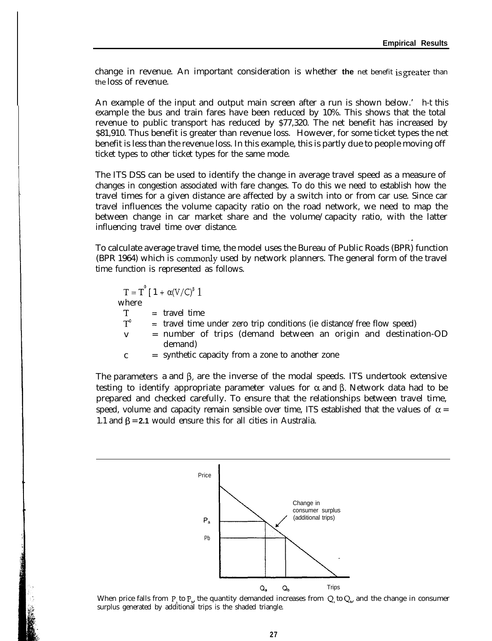.\_

change in revenue. An important consideration is whether the net benefit is greater than the loss of revenue.

An example of the input and output main screen after a run is shown below.' h-t this example the bus and train fares have been reduced by 10%. This shows that the total revenue to public transport has reduced by \$77,320. The net benefit has increased by \$81,910. Thus benefit is greater than revenue loss. However, for some ticket types the net benefit is less than the revenue loss. In this example, this is partly due to people moving off ticket types to other ticket types for the same mode.

The ITS DSS can be used to identify the change in average travel speed as a measure of changes in congestion associated with fare changes. To do this we need to establish how the travel times for a given distance are affected by a switch into or from car use. Since car travel influences the volume capacity ratio on the road network, we need to map the between change in car market share and the volume/capacity ratio, with the latter influencing travel time over distance.

To calculate average travel time, the model uses the Bureau of Public Roads (BPR) function (BPR 1964) which is commonly used by network planners. The general form of the travel time function is represented as follows.

 $T = T^{\circ} [ 1 + \alpha (V/C)^{\beta} ]$ where<br>  $T =$ <br>  $T^0 =$ v = number of trips (demand between an origin and destination-OD  $=$  travel time  $=$  travel time under zero trip conditions (ie distance/free flow speed) demand)

 $c =$  synthetic capacity from a zone to another zone

The parameters a and  $\beta$ , are the inverse of the modal speeds. ITS undertook extensive testing to identify appropriate parameter values for  $\alpha$  and  $\beta$ . Network data had to be prepared and checked carefully. To ensure that the relationships between travel time, speed, volume and capacity remain sensible over time, ITS established that the values of  $\alpha =$ 1.1 and  $\beta$  = **2.1** would ensure this for all cities in Australia.



When price falls from P<sub>a</sub> to P<sub>y</sub>, the quantity demanded increases from Q<sub>a</sub> to Q<sub>y</sub> and the change in consumer surplus generated by additional trips is the shaded triangle.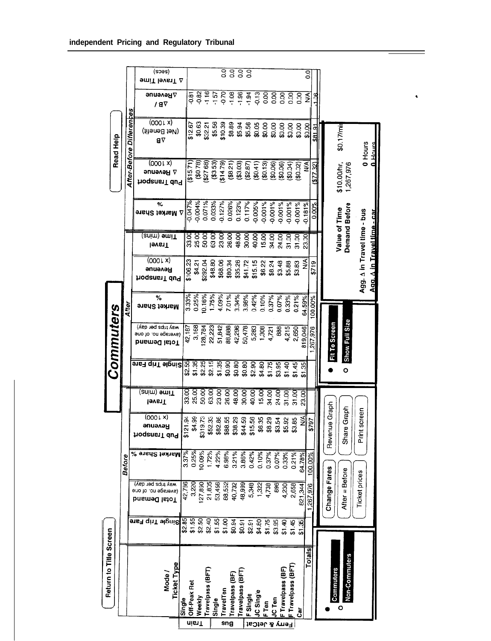|                                    | Return to Title Screen |                               |                                                                  |                |                                                         |                                    |                      | Commuters                                                      |                   |                                     |                              |                      |                                               |                                 |                           |                         |
|------------------------------------|------------------------|-------------------------------|------------------------------------------------------------------|----------------|---------------------------------------------------------|------------------------------------|----------------------|----------------------------------------------------------------|-------------------|-------------------------------------|------------------------------|----------------------|-----------------------------------------------|---------------------------------|---------------------------|-------------------------|
|                                    |                        |                               |                                                                  |                |                                                         |                                    |                      |                                                                |                   |                                     |                              |                      |                                               | <b>Read Help</b>                |                           |                         |
|                                    |                        |                               |                                                                  | Before         |                                                         |                                    |                      |                                                                | After             |                                     |                              |                      |                                               | After-Before Differences        |                           |                         |
|                                    |                        | Single Trip Fare              |                                                                  | Market Share % |                                                         |                                    |                      |                                                                |                   |                                     |                              |                      |                                               |                                 |                           |                         |
|                                    |                        |                               |                                                                  |                |                                                         |                                    |                      |                                                                |                   |                                     |                              |                      |                                               |                                 |                           |                         |
|                                    | Mode                   |                               | way trips per day)<br>(average no. of one<br><b>Demand</b> lstoT |                | $(000 \mid x)$<br>มเดอบุคศิ<br>hoqensil du <sup>q</sup> | <u>(anim) əmiT</u><br><b>level</b> | Single Trip Fare     | way trips per day)<br>(average no. of one<br><b>Diano leto</b> | ℅<br>Market Share | (000r x)<br>Revenue<br>hoqansıT duq | (anim) <b>emiT</b><br>leve1T | %<br>∆ Market Share  | (0001 x)<br>$\forall$ Hevenue<br>hoqensnT duq | (0001 x)<br>(litened teV)<br>a⊽ | anuəvə $\hbox{A}$<br>/ a⊽ | (soəs)<br>emiT levs1T ∆ |
|                                    | <b>Ticket Type</b>     |                               |                                                                  |                |                                                         |                                    |                      |                                                                |                   |                                     |                              |                      |                                               |                                 |                           |                         |
| Single                             |                        | \$2.85                        | 42,786                                                           | 3.37%          | ن<br>\$1                                                | 33.00                              |                      | 42,187                                                         | 3.33%             | \$106.23                            |                              |                      |                                               |                                 |                           |                         |
| Off-Peak Ret<br>nistT              |                        | \$1.55                        | 3,220                                                            | 0.25%          | $\boldsymbol{\mathfrak{s}}$                             | 25.00                              | ន្ទ្រ<br>ន<br>ន<br>ន | 3,168                                                          | 0.25%             | \$4.21                              | 33.00                        | 0.047%<br>$-0.004%$  | (\$15.71                                      | \$12.67                         | 5<br>S                    |                         |
| Weekly                             |                        | \$2.50                        | 27,890                                                           | 10.09%         | \$319                                                   | 50.00                              |                      | 128,784                                                        | 10.16%            | \$292.04                            | ខ្លួខ្លួ<br>និងនិ            | 0.071%               | ( \$27.68)<br>(60.78)                         | \$0.63                          | 0.82                      |                         |
|                                    | Travelpass (BFT)       |                               | 21,805                                                           | 1.72%          | \$52                                                    | 63.00                              | \$2.15<br>\$2.15     | 22,223                                                         | 1.75%             | \$48.80                             |                              | 0.033%               | ( \$3.53)                                     | \$5.56<br>\$32.21               | $-1.16$<br>$-1.57$        |                         |
| TravelTen<br>Single                |                        | $$2.40$<br>$$1.55$<br>$$1.00$ | 53,456                                                           | 4.22%          | \$82                                                    | 23.00                              | \$1.35               | 51,842                                                         | 4.09%             | \$68.06                             | 23.00                        | $-0.127%$            | (14.79)                                       | \$10.39                         |                           |                         |
| sng                                |                        |                               | 88,552                                                           | 6.98%          | \$88                                                    | 26.00                              | \$0.90               | 88,888                                                         | 7.01%             | \$80.34                             | 26.00                        | 0.026%               | (38.21)                                       | \$8.89                          | 0.70<br>$-1.08$           |                         |
|                                    | Travelpass (BF)        | $$0.94$<br>$$0.91$            | 40,732                                                           | 3.21%          | \$38                                                    | 48.00                              | \$0.80               | 42,296                                                         | 3.34%             | \$35.26                             | 48.00                        | 0.123%               | (\$303)                                       | \$5.94                          | $-1,96$                   |                         |
| <b>F</b> Single                    | Travelpass (BFT)       |                               | 48,999                                                           | 3.86%          | \$44                                                    | 30.00                              | \$0.80               | 50,478                                                         | 3.98%             | \$41.72                             | 30.00                        | 0.117%               | (52.87)                                       | \$5.56                          | $-1.94$                   | $\frac{1}{3}$           |
| <b>JC</b> Single                   |                        | \$2.91                        | 5,348                                                            | 0.42%          | \$15                                                    | 40.00                              | \$2.90               | 5,283                                                          | 0.42%             | \$15.15                             | 40.00                        | $-0.005%$            | (11)                                          | \$0.05                          | $-0.13$                   |                         |
| F <sub>Ten</sub><br>Ferry & JetCat |                        | \$4.80<br>\$1.75              | 1,322                                                            | 0.10%          | ង ទី ក្នុង ម៉ូ ដូ ដូ ដូ ដូ ដូ ដូ ដូ ដូ ដូ ដូ<br>S       | 15.00                              | \$4.80               | 1,308                                                          | 0.10%             | \$6.22                              | 15.00                        | $-0.001%$            | (\$0.13)                                      | \$0.00                          | 0.00                      |                         |
| <b>JC</b> Ten                      |                        |                               | 4,738                                                            | 0.37%          | \$8.                                                    | 34.00                              | \$1.75               | 4,721                                                          | 0.37%             | \$824                               | 34.00                        | $-0.001%$            | (60.06)                                       | \$0.00                          | 0.00                      |                         |
|                                    | F Travelpass (BF)      | \$3.95<br>\$1.40              | 896                                                              | 0.07%          | ్ల                                                      | 24.00                              | \$3.95               | 888                                                            | 0.07%             | \$3.48                              | 24.00                        | $-0.001\%$           | (\$0.06)                                      | \$0.00                          | 0.00                      |                         |
|                                    | F Travelpass (BFT)     | \$1.45                        | 4,230<br>2,658                                                   | 0.33%<br>0.21% | ధ్ల                                                     | 31.00                              | \$1.40               | 4,215                                                          | 0.33%             | \$5.88                              | 31.00                        | $-0.001%$            | (\$0.04)                                      | \$0.00                          | 0.00                      |                         |
| និ                                 |                        | \$1.35                        | 821.344                                                          | 64.78%         | ∛<br>్లే                                                | 31.00<br>23.00                     | \$1.45               | 2,650                                                          | 0.21%             | \$3.83                              | 31,00                        | $-0.001\%$           | (\$0.02)                                      | \$0.00                          | 0.00                      |                         |
|                                    | Totals                 |                               | 1,267,976                                                        | 100.00%        | $\overline{9}$<br>₷                                     |                                    | \$1.35               | 819,046                                                        | 64.59%            | ≸                                   | 23.00                        | $-0.181%$            | ⋚                                             | \$0.00                          | ≸                         | $\overline{0}$          |
|                                    |                        |                               |                                                                  |                |                                                         |                                    |                      | ,267,976                                                       | 100.00%           | \$719                               |                              | 0.00%                | 377.32                                        | \$81.91                         | $\frac{1}{106}$           |                         |
|                                    |                        |                               | Change Fares                                                     |                | Revenue Graph                                           |                                    |                      |                                                                |                   |                                     |                              |                      |                                               |                                 |                           |                         |
|                                    | <b>Commuters</b>       |                               |                                                                  |                |                                                         |                                    |                      | Fit To Screen                                                  |                   |                                     | Value of Time                |                      | \$10.00/hr,                                   |                                 |                           |                         |
| O                                  | Non-Commuters          |                               | After = Before                                                   |                | Graph<br>Share <sup>(</sup>                             |                                    | $\bullet$            | Show Full Size                                                 |                   |                                     |                              | <b>Demand Before</b> | 1,267,976                                     | \$0.17/mi                       |                           |                         |
|                                    |                        |                               | <b>Ticket prices</b>                                             |                | Print screen                                            |                                    |                      |                                                                |                   | Agg. A in Travel time - bus         |                              |                      |                                               |                                 |                           |                         |
|                                    |                        |                               |                                                                  |                |                                                         |                                    |                      |                                                                |                   |                                     |                              |                      |                                               | 0 Hours                         |                           |                         |
|                                    |                        |                               |                                                                  |                |                                                         |                                    |                      |                                                                |                   | <u>Aqq. ∆ in Travel time - car</u>  |                              |                      |                                               | <b>O_Hours</b>                  |                           |                         |

.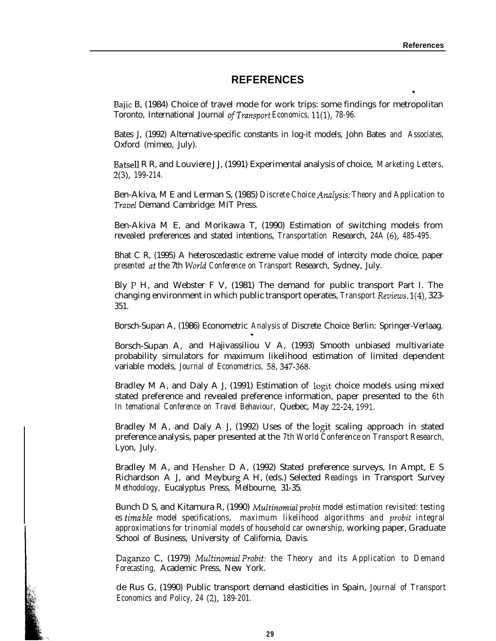.

### **REFERENCES**

Bajic B, (1984) Choice of travel mode for work trips: some findings for metropolitan Toronto, International Journal of Transport *Economics, 11(l), 78-96.*

Bates J, (1992) Alternative-specific constants in log-it models, John Bates *and Associates,* Oxford (mimeo, July).

Batsell R R, and Louviere J J, (1991) Experimental analysis of choice, *Marketing Letters, 2(3), 199-214.*

Ben-Akiva, M E and Lerman S, (1985) *Discrete Choice AnaIysis: Theory and Application to Travel* Demand Cambridge: MIT Press.

Ben-Akiva M E, and Morikawa T, (1990) Estimation of switching models from revealed preferences and stated intentions, *Transportation* Research, *24A (6), 485-495.*

Bhat C R, (1995) A heteroscedastic extreme value model of intercity mode choice, paper *presented* at the 7th World *Conference on Transport* Research, Sydney, July.

Bly P H, and Webster F V, (1981) The demand for public transport Part I. The changing environment in which public transport operates, *Transport Reviews*, 1(4), 323-351.

Borsch-Supan A, (1986) Econometric *Analysis of* Discrete Choice Berlin: Springer-Verlaag.

Borsch-Supan A, and Hajivassiliou V A, (1993) Smooth unbiased multivariate probability simulators for maximum likelihood estimation of limited dependent variable models, *Journal of Econometrics, 58,347-368.*

Bradley M A, and Daly A J, (1991) Estimation of logit choice models using mixed stated preference and revealed preference information, paper presented to the *6th In temational Conference on Travel Behaviour,* Quebec, May 22-24,1991.

Bradley M A, and Daly A J, (1992) Uses of the logit scaling approach in stated preference analysis, paper presented at the *7th World Conference on Transport Research,* Lyon, July.

Bradley M A, and Hensher D A, (1992) Stated preference surveys, In Ampt, E S Richardson A J, and Meyburg A H, (eds.) Selected *Readings* in Transport Survey *Methodology,* Eucalyptus Press, Melbourne, 31-35.

Bunch D S, and Kitamura R, (1990) Multinomial probit model estimation revisited: testing *es tima ble model specifications, maximum likelihood algorithms and probit integral approximations for trinomial models of household car ownership,* working paper, Graduate School of Business, University of California, Davis.

Daganzo C, (1979) *Multinomial Probit: the Theory and its Application to Demand Forecasting,* Academic Press, New York.

de Rus G, (1990) Public transport demand elasticities in Spain, *Journal of Transport Economics and Policy, 24 (2), 189-201.*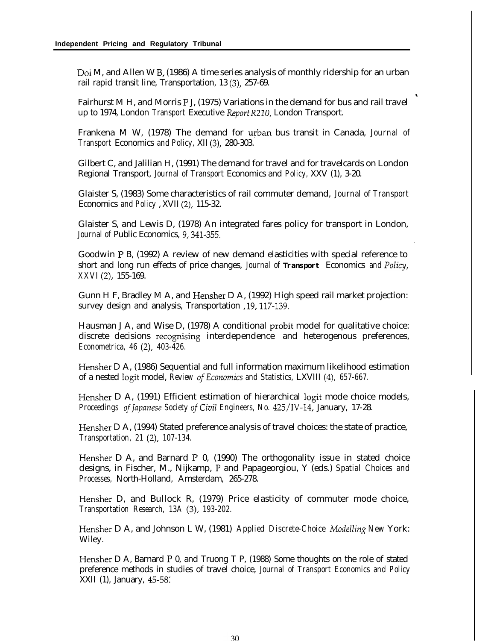Doi M, and Allen W 8, (1986) A time series analysis of monthly ridership for an urban rail rapid transit line, Transportation, 13 (3), 257-69.

Fairhurst M H, and Morris P J, (1975) Variations in the demand for bus and rail travel up to 1974, London *Transport* Executive *Report R210*, London Transport.

.

Frankena M W, (1978) The demand for urban bus transit in Canada, *Journal of Transport* Economics *and Policy,* XII (3), 280-303.

Gilbert C, and Jalilian H, (1991) The demand for travel and for travelcards on London Regional Transport, *Journal of Transport* Economics and *Policy,* XXV (1), 3-20.

Glaister S, (1983) Some characteristics of rail commuter demand, *Journal of Transport* Economics *and Policy* , XVII (2), 115-32.

Glaister S, and Lewis D, (1978) An integrated fares policy for transport in London, Journal of Public Economics, 9, 341-355.

Goodwin P B, (1992) A review of new demand elasticities with special reference to short and long run effects of price changes, *Journal of* **Transport** Economics *and PoIicy, XXVI* (2), 155-169.

Gunn H F, Bradley M A, and Hensher D A, (1992) High speed rail market projection: survey design and analysis, Transportation , 19,117-139.

Hausman J A, and Wise D, (1978) A conditional probit model for qualitative choice: discrete decisions recognising interdependence and heterogenous preferences, *Econometrica, 46 (2), 403-426.*

Hensher D A, (1986) Sequential and full information maximum likelihood estimation of a nested logit model, *Review* of Economics *and Statistics,* LXVIII *(4), 657-667.*

Hensher D A, (1991) Efficient estimation of hierarchical logit mode choice models, *Proceedings of Japanese Society of Civil Engineers, No.*  $425/IV-14$ *, January, 17-28.* 

Hensher D A, (1994) Stated preference analysis of travel choices: the state of practice, *Transportation, 21 (2), 107-134.*

Hensher D A, and Barnard  $P$  0, (1990) The orthogonality issue in stated choice designs, in Fischer, M., Nijkamp, P and Papageorgiou, Y (eds.) *Spatial Choices and Processes,* North-Holland, Amsterdam, 265-278.

Hensher D, and Bullock R, (1979) Price elasticity of commuter mode choice, *Transportation Research, 13A (3), 193-202.*

Hensher D A, and Johnson L W, (1981) *Applied Discrete-Choice Modelling New York:* Wiley.

Hensher D A, Barnard P 0, and Truong T P, (1988) Some thoughts on the role of stated preference methods in studies of travel choice, *Journal of Transport Economics and Policy* XXII (1), January, 45-58.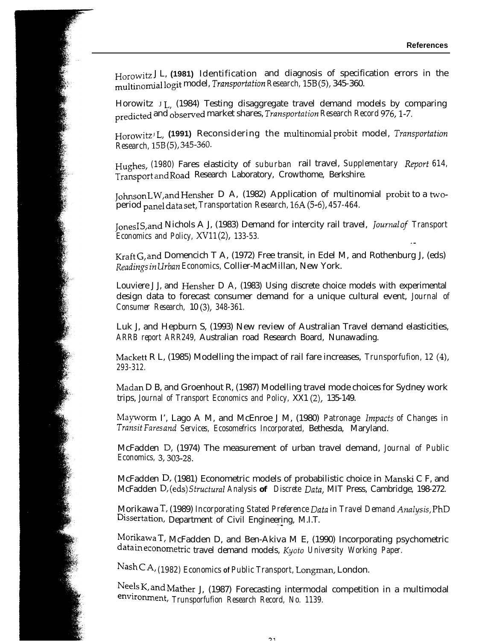**Horowitz** J L, **(1981)** Identification and diagnosis of specification errors in the multinomial logit model, *Transportation Research*, 15B(5), 345-360.

Horowitz J L, (1984) Testing disaggregate travel demand models by comparing predicted and observed market shares, *Trunsporfufion Research Record 976,1-7.*

*Horowitz<sup>1</sup>L*, (1991) Reconsidering the multinomial probit model, *Transportation Research, 15B (5), 345-360.*

Hughes, *(1980)* Fares elasticity of *suburban* rail travel, *Supplementary Reporf 614,* Transport and Road Research Laboratory, Crowthome, Berkshire.

**Johnson LW,and** Hensher D A, (1982) Application of multinomial probit to a twoperiod panel data set, *Transportation Research, 16A (5-6), 457-464.*

Jones IS, and Nichols A J, (1983) Demand for intercity rail travel, *Journal of Transport Economics and Policy,* XV11 *(2), 133-53. .\_*

*Gaft G, and* Domencich T A, (1972) Free transit, in Edel M, and Rothenburg J, (eds) Readings in *Urban Economics,* Collier-MacMillan, New York.

Louviere J J, and Hensher D A, (1983) Using discrete choice models with experimental design data to forecast consumer demand for a unique cultural event, *Journal of Consumer Research,* 10 *(3), 348-361.*

Luk J, and Hepburn S, (1993) New review of Australian Travel demand elasticities, *ARRB report ARR249,* Australian road Research Board, Nunawading.

Mackett R L, (1985) Modelling the impact of rail fare increases, *Trunsporfufion, 12 (4), 293-312.*

Madan D B, and Groenhout R, (1987) Modelling travel mode choices for Sydney work trips, *Journal of Transport Economics and Policy,* XX1 (2), 135-149.

Mayworm I', Lago A M, and McEnroe J M, (1980) *Patronage Irnpucfs of Changes in Trunsif Fares and Services, Ecosomefrics Incorporated,* Bethesda, Maryland.

McFadden D, (1974) The measurement of urban travel demand, *Journal of Public Economics,* 3,303-28.

McFadden D, (1981) Econometric models of probabilistic choice in Manski C F, and McFadden D, *(eds) Sfrucfurul Analysis* **of** *Discrete Data,* MIT Press, Cambridge, 198-272.

Morikawa <sup>T</sup>, (1989) *Incorporating Stated Preference Data in Travel Demand Analysis*, PhD Dissertation, Department of Civil Engineering, M.I.T. .\_

Morikawa T, McFadden D, and Ben-Akiva M E, (1990) Incorporating psychometric data in econometric travel demand models, Kyofo *University Working Paper.*

*Nash c A/ (1982) Economics* **of** *Public Transport,* Longman, London.

Neels K/ and Mather J, (1987) Forecasting intermodal competition in a multimodal environment/ *Trunsporfufion Research Record, No. 1139.*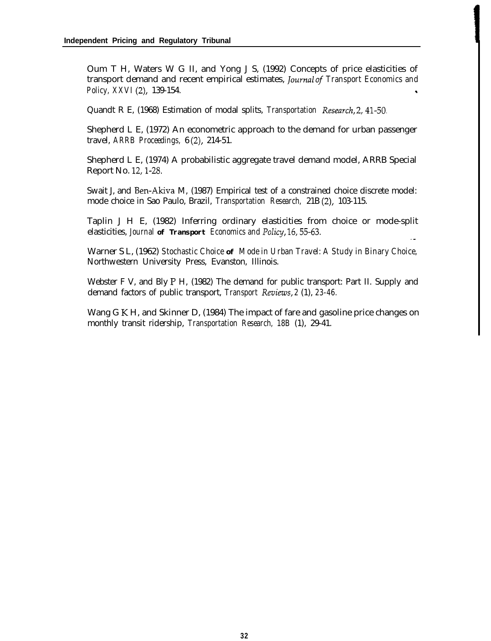Oum T H, Waters W G II, and Yong J S, (1992) Concepts of price elasticities of transport demand and recent empirical estimates, Journal of *Transport Economics and Policy, XXVI* (2), 139-154. .

Quandt R E, (1968) Estimation of modal splits, *Transportation Reseurch,* 2,41-50.

Shepherd L E, (1972) An econometric approach to the demand for urban passenger travel, *ARRB Proceedings,* 6 (2), 214-51.

Shepherd L E, (1974) A probabilistic aggregate travel demand model, ARRB Special Report No. 12,1-28.

Swait J, and Ben-Akiva M, (1987) Empirical test of a constrained choice discrete model: mode choice in Sao Paulo, Brazil, *Transportation Research,* 21B (2), 103-115.

Taplin J H E, (1982) Inferring ordinary elasticities from choice or mode-split *elasticities, Journal of Transport Economics and Policy, 16, 55-63.* 

Warner S L, (1962) *Stochastic Choice of Mode in Urban Travel: A Study in Binary Choice,* Northwestern University Press, Evanston, Illinois.

Webster F V, and Bly P H, (1982) The demand for public transport: Part II. Supply and demand factors of public transport, *Transport Reviezus, 2* (1), *23-46.*

Wang G K H, and Skinner D, (1984) The impact of fare and gasoline price changes on monthly transit ridership, *Transportation Research, 18B* (1), 29-41.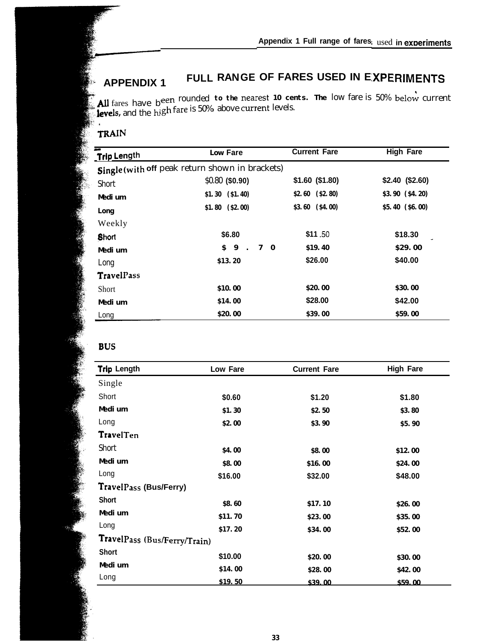#### **v- APPENDIX 1 FULL RANGE OF FARES USED IN EXPERIMENTS**

All fares have b **levels,** and the hi **Neen** rounded  $\mathrm{lgh}$  fare is  $50\%$ to the nearest 10 cents. The low fare is , above current levels. 50% below current

### **TRAIN**

| Trip Length       | <b>Low Fare</b>                                     | <b>Current Fare</b>   | <b>High Fare</b>         |
|-------------------|-----------------------------------------------------|-----------------------|--------------------------|
|                   | Single (with off peak return shown in brackets)     |                       |                          |
| Short             | $$0.80$ (\$0.90)                                    | $$1.60$ (\$1.80)      | $$2.40$ (\$2.60)         |
| Medi um           | $$1.30$ $$1.40$                                     | $$2.60$ $$2.80)$      | \$3.90(\$4.20)           |
| Long              | $$1.80$ $$2.00$                                     | $($ \$4.00)<br>\$3.60 | \$5.40 (\$6.00)          |
| Weekly            |                                                     |                       |                          |
| <b>Short</b>      | \$6.80                                              | \$11.50               | \$18.30<br>$\rightarrow$ |
| Medium            | S<br>9<br>7<br>$\mathbf{0}$<br>$\ddot{\phantom{a}}$ | \$19.40               | \$29.00                  |
| Long              | \$13.20                                             | \$26.00               | \$40.00                  |
| <b>TravelPass</b> |                                                     |                       |                          |
| Short             | \$10.00                                             | <b>S20.00</b>         | \$30.00                  |
| Medium            | \$14.00                                             | \$28.00               | \$42.00                  |
| Long              | \$20.00                                             | \$39.00               | \$59.00                  |

### **BUS**

| <b>Trip Length</b>           | Low Fare       | <b>Current Fare</b> | <b>High Fare</b> |
|------------------------------|----------------|---------------------|------------------|
| Single                       |                |                     |                  |
| Short                        | \$0.60         | \$1.20              | \$1.80           |
| <b>Medium</b>                | \$1.30         | <b>\$2.50</b>       | \$3.80           |
| Long                         | <b>\$2.00</b>  | \$3.90              | \$5.90           |
| <b>TravelTen</b>             |                |                     |                  |
| Short                        | \$4.00         | <b>\$8.00</b>       | \$12.00          |
| <b>Medium</b>                | <b>\$8.00</b>  | \$16.00             | \$24.00          |
| Long                         | \$16.00        | \$32.00             | \$48.00          |
| TravelPass (Bus/Ferry)       |                |                     |                  |
| <b>Short</b>                 | <b>\$8.60</b>  | \$17.10             | \$26.00          |
| <b>Medium</b>                | \$11.70        | \$23.00             | \$35.00          |
| Long                         | \$17.20        | \$34.00             | \$52.00          |
| TravelPass (Bus/Ferry/Train) |                |                     |                  |
| <b>Short</b>                 | \$10.00        | \$20.00             | \$30.00          |
| Medium                       | \$14.00        | \$28.00             | \$42.00          |
| Long                         | <b>\$19.50</b> | \$39.00             | \$59.00          |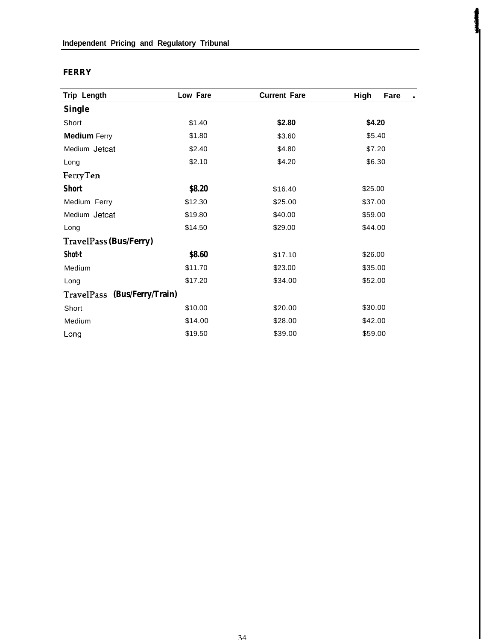### **FERRY**

| Trip Length                     | Low Fare | <b>Current Fare</b> | High<br>Fare |
|---------------------------------|----------|---------------------|--------------|
| <b>Single</b>                   |          |                     |              |
| Short                           | \$1.40   | \$2.80              | \$4.20       |
| <b>Medium Ferry</b>             | \$1.80   | \$3.60              | \$5.40       |
| Medium Jetcat                   | \$2.40   | \$4.80              | \$7.20       |
| Long                            | \$2.10   | \$4.20              | \$6.30       |
| FerryTen                        |          |                     |              |
| <b>Short</b>                    | \$8.20   | \$16.40             | \$25.00      |
| Medium Ferry                    | \$12.30  | \$25.00             | \$37.00      |
| Medium Jetcat                   | \$19.80  | \$40.00             | \$59.00      |
| Long                            | \$14.50  | \$29.00             | \$44.00      |
| TravelPass (Bus/Ferry)          |          |                     |              |
| Shot-t                          | \$8.60   | \$17.10             | \$26.00      |
| Medium                          | \$11.70  | \$23.00             | \$35.00      |
| Long                            | \$17.20  | \$34.00             | \$52.00      |
| (Bus/Ferry/Train)<br>TravelPass |          |                     |              |
| Short                           | \$10.00  | \$20.00             | \$30.00      |
| Medium                          | \$14.00  | \$28.00             | \$42.00      |
| Long                            | \$19.50  | \$39.00             | \$59.00      |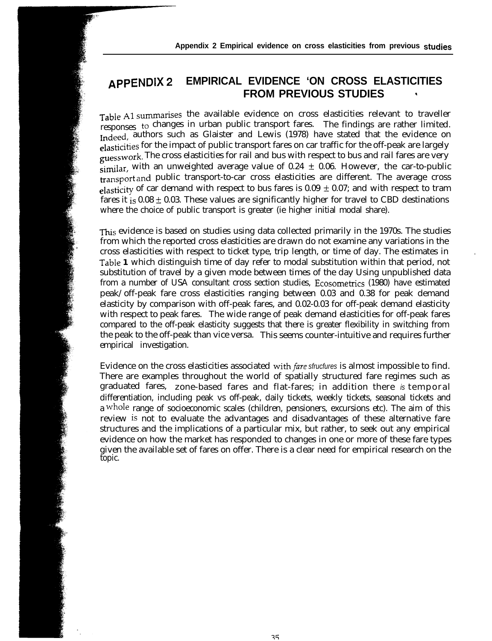## **APPENDIX 2 EMPIRICAL EVIDENCE 'ON CROSS ELASTICITIES FROM PREVIOUS STUDIES**

**Table ~1 sumarises** the available evidence on cross elasticities relevant to traveller responses to changes in urban public transport fares. The findings are rather limited. Indeed, authors such as Glaister and Lewis (1978) have stated that the evidence on elasticities for the impact of public transport fares on car traffic for the off-peak are largely guesswork. The cross elasticities for rail and bus with respect to bus and rail fares are very similar, with an unweighted average value of  $0.24 \pm 0.06$ . However, the car-to-public transport and public transport-to-car cross elasticities are different. The average cross elasticity of car demand with respect to bus fares is  $0.09 \pm 0.07$ ; and with respect to tram fares it is  $0.08 \pm 0.03$ . These values are significantly higher for travel to CBD destinations where the choice of public transport is greater (ie higher initial modal share).

This evidence is based on studies using data collected primarily in the 1970s. The studies from which the reported cross elasticities are drawn do not examine any variations in the cross elasticities with respect to ticket type, trip length, or time of day. The estimates in **. Table 1** which distinguish time of day refer to modal substitution within that period, not substitution of travel by a given mode between times of the day Using unpublished data from a number of USA consultant cross section studies, Ecosometrics (1980) have estimated peak/off-peak fare cross elasticities ranging between 0.03 and 0.38 for peak demand elasticity by comparison with off-peak fares, and 0.02-0.03 for off-peak demand elasticity with respect to peak fares. The wide range of peak demand elasticities for off-peak fares compared to the off-peak elasticity suggests that there is greater flexibility in switching from the peak to the off-peak than vice versa. This seems counter-intuitive and requires further empirical investigation.

Evidence on the cross elasticities associated with fare sfructures is almost impossible to find. There are examples throughout the world of spatially structured fare regimes such as graduated fares, zone-based fares and flat-fares; in addition there *is* temporal differentiation, including peak vs off-peak, daily tickets, weekly tickets, seasonal tickets and a whole range of socioeconomic scales (children, pensioners, excursions etc). The aim of this review is not to evaluate the advantages and disadvantages of these alternative fare structures and the implications of a particular mix, but rather, to seek out any empirical evidence on how the market has responded to changes in one or more of these fare types given the available set of fares on offer. There is a clear need for empirical research on the topic.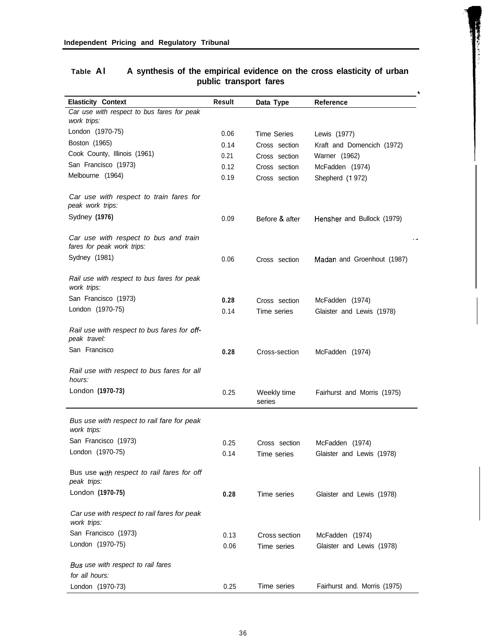| <b>Elasticity Context</b>                                           | Result | Data Type             | <b>Reference</b>             |
|---------------------------------------------------------------------|--------|-----------------------|------------------------------|
| Car use with respect to bus fares for peak<br>work trips:           |        |                       |                              |
| London (1970-75)                                                    | 0.06   | <b>Time Series</b>    | Lewis (1977)                 |
| Boston (1965)                                                       | 0.14   | Cross section         | Kraft and Domencich (1972)   |
| Cook County, Illinois (1961)                                        | 0.21   | Cross section         | Warner (1962)                |
| San Francisco (1973)                                                | 0.12   | Cross section         | McFadden (1974)              |
| Melbourne (1964)                                                    | 0.19   | Cross section         | Shepherd (1972)              |
| Car use with respect to train fares for<br>peak work trips:         |        |                       |                              |
| Sydney (1976)                                                       | 0.09   | Before & after        | Hensher and Bullock (1979)   |
| Car use with respect to bus and train<br>fares for peak work trips: |        |                       |                              |
| Sydney (1981)                                                       | 0.06   | Cross section         | Madan and Groenhout (1987)   |
| Rail use with respect to bus fares for peak<br>work trips:          |        |                       |                              |
| San Francisco (1973)                                                | 0.28   | Cross section         | McFadden (1974)              |
| London (1970-75)                                                    | 0.14   | Time series           | Glaister and Lewis (1978)    |
| Rail use with respect to bus fares for off-<br>peak travel:         |        |                       |                              |
| San Francisco                                                       | 0.28   | Cross-section         | McFadden (1974)              |
| Rail use with respect to bus fares for all<br>hours:                |        |                       |                              |
| London (1970-73)                                                    | 0.25   | Weekly time<br>series | Fairhurst and Morris (1975)  |
| Bus use with respect to rail fare for peak<br>work trips:           |        |                       |                              |
| San Francisco (1973)                                                | 0.25   | Cross section         | McFadden (1974)              |
| London (1970-75)                                                    | 0.14   | Time series           | Glaister and Lewis (1978)    |
| Bus use with respect to rail fares for off<br>peak trips:           |        |                       |                              |
| London (1970-75)                                                    | 0.28   | Time series           | Glaister and Lewis (1978)    |
| Car use with respect to rail fares for peak<br>work trips:          |        |                       |                              |
| San Francisco (1973)                                                | 0.13   | Cross section         | McFadden (1974)              |
| London (1970-75)                                                    | 0.06   | Time series           | Glaister and Lewis (1978)    |
| Bus use with respect to rail fares                                  |        |                       |                              |
| for all hours:                                                      |        |                       |                              |
| London (1970-73)                                                    | 0.25   | Time series           | Fairhurst and. Morris (1975) |

### **Table Al A synthesis of the empirical evidence on the cross elasticity of urban public transport fares**

落電 ディー・コー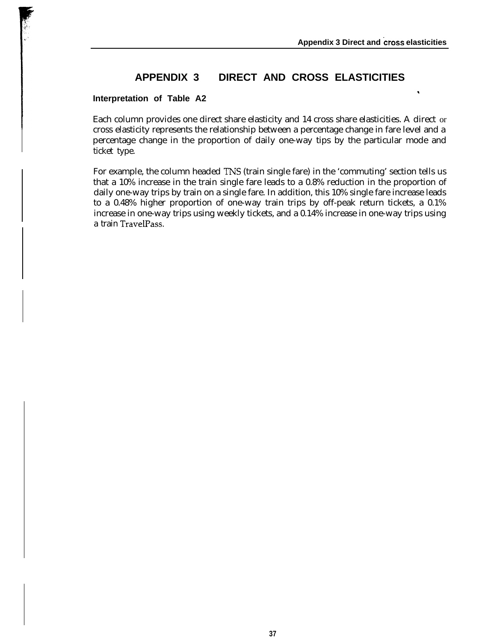$\hat{\mathbf{v}}$ 

### **APPENDIX 3 DIRECT AND CROSS ELASTICITIES**

#### **Interpretation of Table A2**

Each column provides one direct share elasticity and 14 cross share elasticities. A direct or cross elasticity represents the relationship between a percentage change in fare level and a percentage change in the proportion of daily one-way tips by the particular mode and ticket type.

For example, the column headed TNS (train single fare) in the 'commuting' section tells us that a 10% increase in the train single fare leads to a 0.8% reduction in the proportion of daily one-way trips by train on a single fare. In addition, this 10% single fare increase leads to a 0.48% higher proportion of one-way train trips by off-peak return tickets, a 0.1% increase in one-way trips using weekly tickets, and a 0.14% increase in one-way trips using a train TravelPass.